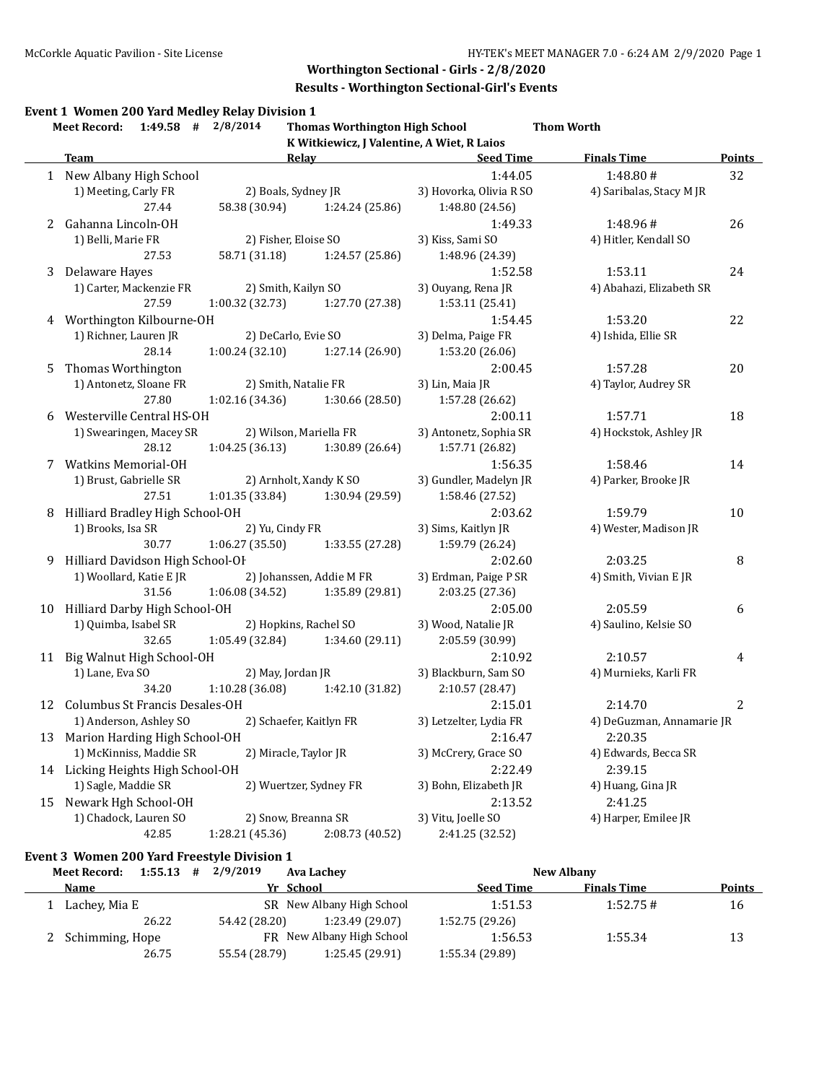#### **Results - Worthington Sectional-Girl's Events**

#### **Event 1**

|    | Event 1 Women 200 Yard Medley Relay Division 1<br><b>Meet Record:</b> | $1:49.58$ # $2/8/2014$ | <b>Thomas Worthington High School</b>      |                         | <b>Thom Worth</b>         |                  |
|----|-----------------------------------------------------------------------|------------------------|--------------------------------------------|-------------------------|---------------------------|------------------|
|    |                                                                       |                        | K Witkiewicz, J Valentine, A Wiet, R Laios |                         |                           |                  |
|    | <b>Team</b>                                                           |                        | Relay                                      | <b>Seed Time</b>        | <b>Finals Time</b>        | <b>Points</b>    |
|    | 1 New Albany High School                                              |                        |                                            | 1:44.05                 | 1:48.80#                  | 32               |
|    | 1) Meeting, Carly FR                                                  | 2) Boals, Sydney JR    |                                            | 3) Hovorka, Olivia R SO | 4) Saribalas, Stacy M JR  |                  |
|    | 27.44                                                                 | 58.38 (30.94)          | 1:24.24 (25.86)                            | 1:48.80 (24.56)         |                           |                  |
| 2  | Gahanna Lincoln-OH                                                    |                        |                                            | 1:49.33                 | 1:48.96#                  | 26               |
|    | 1) Belli, Marie FR                                                    | 2) Fisher, Eloise SO   |                                            | 3) Kiss, Sami SO        | 4) Hitler, Kendall SO     |                  |
|    | 27.53                                                                 | 58.71 (31.18)          | 1:24.57 (25.86)                            | 1:48.96 (24.39)         |                           |                  |
| 3  | Delaware Hayes                                                        |                        |                                            | 1:52.58                 | 1:53.11                   | 24               |
|    | 1) Carter, Mackenzie FR                                               | 2) Smith, Kailyn SO    |                                            | 3) Ouyang, Rena JR      | 4) Abahazi, Elizabeth SR  |                  |
|    | 27.59                                                                 | 1:00.32 (32.73)        | 1:27.70 (27.38)                            | 1:53.11 (25.41)         |                           |                  |
| 4  | Worthington Kilbourne-OH                                              |                        |                                            | 1:54.45                 | 1:53.20                   | 22               |
|    | 1) Richner, Lauren JR                                                 | 2) DeCarlo, Evie SO    |                                            | 3) Delma, Paige FR      | 4) Ishida, Ellie SR       |                  |
|    | 28.14                                                                 | 1:00.24(32.10)         | 1:27.14 (26.90)                            | 1:53.20 (26.06)         |                           |                  |
| 5  | Thomas Worthington                                                    |                        |                                            | 2:00.45                 | 1:57.28                   | 20               |
|    | 1) Antonetz, Sloane FR                                                | 2) Smith, Natalie FR   |                                            | 3) Lin, Maia JR         | 4) Taylor, Audrey SR      |                  |
|    | 27.80                                                                 | 1:02.16(34.36)         | 1:30.66 (28.50)                            | 1:57.28 (26.62)         |                           |                  |
| 6  | Westerville Central HS-OH                                             |                        |                                            | 2:00.11                 | 1:57.71                   | 18               |
|    | 1) Swearingen, Macey SR                                               |                        | 2) Wilson, Mariella FR                     | 3) Antonetz, Sophia SR  | 4) Hockstok, Ashley JR    |                  |
|    | 28.12                                                                 | 1:04.25(36.13)         | 1:30.89 (26.64)                            | 1:57.71 (26.82)         |                           |                  |
| 7  | <b>Watkins Memorial-OH</b>                                            |                        |                                            | 1:56.35                 | 1:58.46                   | 14               |
|    | 1) Brust, Gabrielle SR                                                |                        | 2) Arnholt, Xandy K SO                     | 3) Gundler, Madelyn JR  | 4) Parker, Brooke JR      |                  |
|    | 27.51                                                                 | 1:01.35(33.84)         | 1:30.94 (29.59)                            | 1:58.46 (27.52)         |                           |                  |
| 8  | Hilliard Bradley High School-OH                                       |                        |                                            | 2:03.62                 | 1:59.79                   | 10               |
|    | 1) Brooks, Isa SR                                                     | 2) Yu, Cindy FR        |                                            | 3) Sims, Kaitlyn JR     | 4) Wester, Madison JR     |                  |
|    | 30.77                                                                 | 1:06.27(35.50)         | 1:33.55 (27.28)                            | 1:59.79 (26.24)         |                           |                  |
|    |                                                                       |                        |                                            |                         |                           |                  |
| 9  | Hilliard Davidson High School-OF                                      |                        |                                            | 2:02.60                 | 2:03.25                   | $\, 8$           |
|    | 1) Woollard, Katie E JR                                               |                        | 2) Johanssen, Addie M FR                   | 3) Erdman, Paige P SR   | 4) Smith, Vivian E JR     |                  |
|    | 31.56                                                                 | 1:06.08(34.52)         | 1:35.89 (29.81)                            | 2:03.25 (27.36)         |                           |                  |
| 10 | Hilliard Darby High School-OH                                         |                        |                                            | 2:05.00                 | 2:05.59                   | $\boldsymbol{6}$ |
|    | 1) Quimba, Isabel SR                                                  |                        | 2) Hopkins, Rachel SO                      | 3) Wood, Natalie JR     | 4) Saulino, Kelsie SO     |                  |
|    | 32.65                                                                 |                        | 1:05.49 (32.84) 1:34.60 (29.11)            | 2:05.59 (30.99)         |                           |                  |
|    | 11 Big Walnut High School-OH                                          |                        |                                            | 2:10.92                 | 2:10.57                   | 4                |
|    | 1) Lane, Eva SO                                                       | 2) May, Jordan JR      |                                            | 3) Blackburn, Sam SO    | 4) Murnieks, Karli FR     |                  |
|    | 34.20                                                                 | 1:10.28 (36.08)        | 1:42.10 (31.82)                            | 2:10.57 (28.47)         |                           |                  |
|    | 12 Columbus St Francis Desales-OH                                     |                        |                                            | 2:15.01                 | 2:14.70                   | $\sqrt{2}$       |
|    | 1) Anderson, Ashley SO                                                |                        | 2) Schaefer, Kaitlyn FR                    | 3) Letzelter, Lydia FR  | 4) DeGuzman, Annamarie JR |                  |
| 13 | Marion Harding High School-OH                                         |                        |                                            | 2:16.47                 | 2:20.35                   |                  |
|    | 1) McKinniss, Maddie SR                                               | 2) Miracle, Taylor JR  |                                            | 3) McCrery, Grace SO    | 4) Edwards, Becca SR      |                  |
|    | 14 Licking Heights High School-OH                                     |                        |                                            | 2:22.49                 | 2:39.15                   |                  |
|    | 1) Sagle, Maddie SR                                                   |                        | 2) Wuertzer, Sydney FR                     | 3) Bohn, Elizabeth JR   | 4) Huang, Gina JR         |                  |
|    | 15 Newark Hgh School-OH                                               |                        |                                            | 2:13.52                 | 2:41.25                   |                  |
|    | 1) Chadock, Lauren SO                                                 | 2) Snow, Breanna SR    |                                            | 3) Vitu, Joelle SO      | 4) Harper, Emilee JR      |                  |
|    | 42.85                                                                 | 1:28.21 (45.36)        | 2:08.73 (40.52)                            | 2:41.25 (32.52)         |                           |                  |
|    | Event 3 Women 200 Yard Freestyle Division 1                           |                        |                                            |                         |                           |                  |
|    |                                                                       |                        |                                            |                         |                           |                  |

| 1:55.13<br><b>Meet Record:</b><br># | 2/9/2019<br>Ava Lachev           | New Albany                             |               |
|-------------------------------------|----------------------------------|----------------------------------------|---------------|
| Name                                | Yr School                        | <b>Seed Time</b><br><b>Finals Time</b> | <b>Points</b> |
| 1 Lachey, Mia E                     | SR New Albany High School        | 1:52.75#<br>1:51.53                    | 16            |
| 26.22                               | 54.42 (28.20)<br>1:23.49 (29.07) | 1:52.75(29.26)                         |               |
| 2 Schimming, Hope                   | FR New Albany High School        | 1:55.34<br>1:56.53                     | 13            |
| 26.75                               | 55.54 (28.79)<br>1:25.45 (29.91) | 1:55.34 (29.89)                        |               |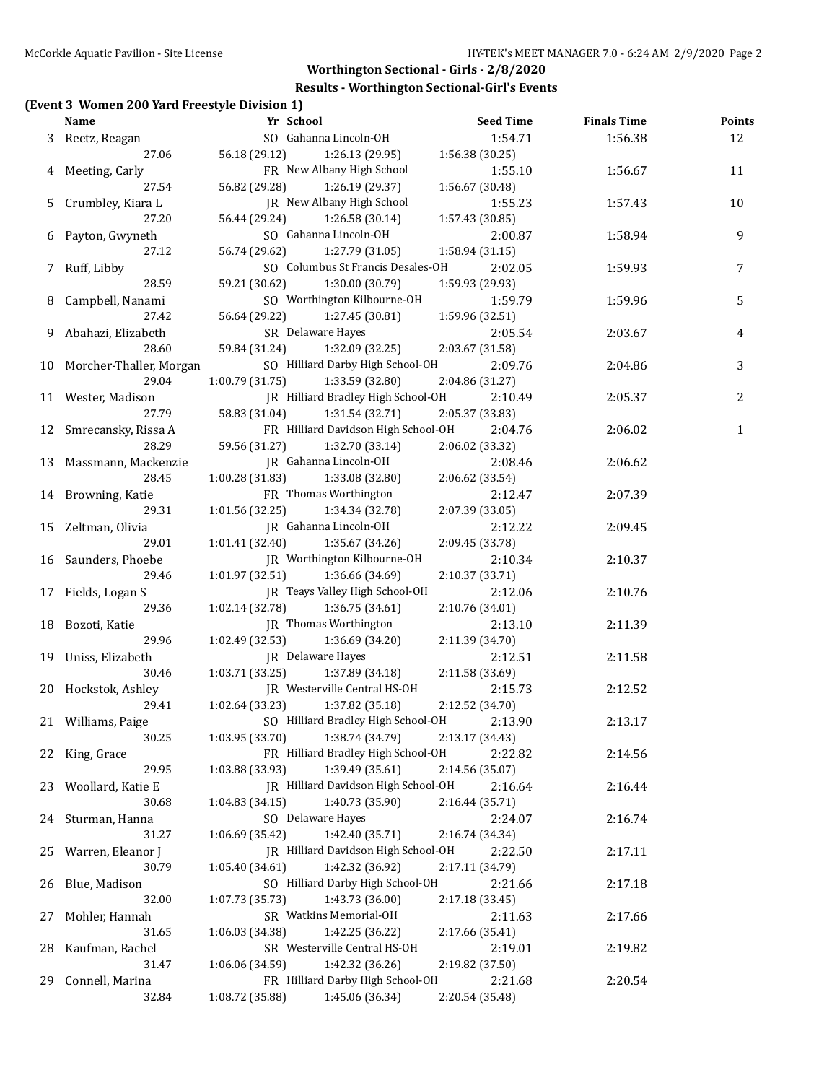#### **Results - Worthington Sectional-Girl's Events**

## **(Event 3 Women 200 Yard Freestyle Division 1)**

|    | Name and the second state of the second state of the second state of the second state of the second state of the second state of the second state of the second state of the second state of the second state of the second st | Yr School                                  | <b>Seed Time</b> | <b>Finals Time</b> | <b>Points</b> |
|----|--------------------------------------------------------------------------------------------------------------------------------------------------------------------------------------------------------------------------------|--------------------------------------------|------------------|--------------------|---------------|
|    | 3 Reetz, Reagan                                                                                                                                                                                                                | SO Gahanna Lincoln-OH                      | 1:54.71          | 1:56.38            | 12            |
|    | 27.06                                                                                                                                                                                                                          | 56.18 (29.12)<br>1:26.13 (29.95)           | 1:56.38(30.25)   |                    |               |
|    | 4 Meeting, Carly                                                                                                                                                                                                               | FR New Albany High School                  | 1:55.10          | 1:56.67            | 11            |
|    | 27.54                                                                                                                                                                                                                          | 1:26.19 (29.37)<br>56.82 (29.28)           | 1:56.67 (30.48)  |                    |               |
| 5. | Crumbley, Kiara L                                                                                                                                                                                                              | IR New Albany High School                  | 1:55.23          | 1:57.43            | 10            |
|    | 27.20                                                                                                                                                                                                                          | 1:26.58 (30.14)<br>56.44 (29.24)           | 1:57.43 (30.85)  |                    |               |
| 6  | Payton, Gwyneth                                                                                                                                                                                                                | SO Gahanna Lincoln-OH                      | 2:00.87          | 1:58.94            | 9             |
|    | 27.12                                                                                                                                                                                                                          | 56.74 (29.62)<br>1:27.79 (31.05)           | 1:58.94 (31.15)  |                    |               |
| 7  | Ruff, Libby                                                                                                                                                                                                                    | SO Columbus St Francis Desales-OH          | 2:02.05          | 1:59.93            | 7             |
|    | 28.59                                                                                                                                                                                                                          | 59.21 (30.62)<br>1:30.00 (30.79)           | 1:59.93 (29.93)  |                    |               |
| 8  | Campbell, Nanami                                                                                                                                                                                                               | SO Worthington Kilbourne-OH                | 1:59.79          | 1:59.96            | 5             |
|    | 27.42                                                                                                                                                                                                                          | 56.64 (29.22)<br>1:27.45 (30.81)           | 1:59.96 (32.51)  |                    |               |
| 9  | Abahazi, Elizabeth                                                                                                                                                                                                             | SR Delaware Hayes                          | 2:05.54          | 2:03.67            | 4             |
|    | 28.60                                                                                                                                                                                                                          | 59.84 (31.24)<br>1:32.09 (32.25)           | 2:03.67 (31.58)  |                    |               |
|    | 10 Morcher-Thaller, Morgan                                                                                                                                                                                                     | SO Hilliard Darby High School-OH           | 2:09.76          | 2:04.86            | 3             |
|    | 29.04                                                                                                                                                                                                                          | 1:00.79(31.75)<br>1:33.59 (32.80)          | 2:04.86 (31.27)  |                    |               |
|    | 11 Wester, Madison                                                                                                                                                                                                             | JR Hilliard Bradley High School-OH         | 2:10.49          | 2:05.37            | 2             |
|    | 27.79                                                                                                                                                                                                                          | 58.83 (31.04)<br>1:31.54 (32.71)           | 2:05.37 (33.83)  |                    |               |
|    | 12 Smrecansky, Rissa A                                                                                                                                                                                                         | FR Hilliard Davidson High School-OH        | 2:04.76          | 2:06.02            | $\mathbf{1}$  |
|    | 28.29                                                                                                                                                                                                                          | 1:32.70 (33.14)<br>59.56 (31.27)           | 2:06.02 (33.32)  |                    |               |
|    | 13 Massmann, Mackenzie                                                                                                                                                                                                         | JR Gahanna Lincoln-OH                      | 2:08.46          | 2:06.62            |               |
|    | 28.45                                                                                                                                                                                                                          | 1:00.28(31.83)<br>1:33.08 (32.80)          | 2:06.62 (33.54)  |                    |               |
|    | 14 Browning, Katie                                                                                                                                                                                                             | FR Thomas Worthington                      | 2:12.47          | 2:07.39            |               |
|    | 29.31                                                                                                                                                                                                                          | 1:01.56 (32.25)<br>1:34.34 (32.78)         | 2:07.39 (33.05)  |                    |               |
|    | 15 Zeltman, Olivia                                                                                                                                                                                                             | JR Gahanna Lincoln-OH                      | 2:12.22          | 2:09.45            |               |
|    | 29.01                                                                                                                                                                                                                          | 1:01.41 (32.40)<br>1:35.67 (34.26)         | 2:09.45 (33.78)  |                    |               |
|    | 16 Saunders, Phoebe                                                                                                                                                                                                            | JR Worthington Kilbourne-OH                | 2:10.34          | 2:10.37            |               |
|    | 29.46                                                                                                                                                                                                                          | 1:01.97(32.51)<br>1:36.66 (34.69)          | 2:10.37 (33.71)  |                    |               |
|    | 17 Fields, Logan S                                                                                                                                                                                                             | JR Teays Valley High School-OH             | 2:12.06          | 2:10.76            |               |
|    | 29.36                                                                                                                                                                                                                          | 1:02.14 (32.78)<br>1:36.75 (34.61)         | 2:10.76 (34.01)  |                    |               |
|    | 18 Bozoti, Katie                                                                                                                                                                                                               | JR Thomas Worthington                      | 2:13.10          | 2:11.39            |               |
|    | 29.96                                                                                                                                                                                                                          | 1:02.49 (32.53)<br>1:36.69 (34.20)         | 2:11.39 (34.70)  |                    |               |
|    | 19 Uniss, Elizabeth                                                                                                                                                                                                            | JR Delaware Hayes                          | 2:12.51          | 2:11.58            |               |
|    | 30.46                                                                                                                                                                                                                          | 1:03.71(33.25)<br>1:37.89 (34.18)          | 2:11.58 (33.69)  |                    |               |
|    | 20 Hockstok, Ashley                                                                                                                                                                                                            | JR Westerville Central HS-OH               | 2:15.73          | 2:12.52            |               |
|    | 29.41                                                                                                                                                                                                                          | 1:02.64(33.23)<br>1:37.82 (35.18)          | 2:12.52 (34.70)  |                    |               |
|    | 21 Williams, Paige                                                                                                                                                                                                             | SO Hilliard Bradley High School-OH 2:13.90 |                  | 2:13.17            |               |
|    | 30.25                                                                                                                                                                                                                          | 1:03.95 (33.70)<br>1:38.74 (34.79)         | 2:13.17 (34.43)  |                    |               |
|    | 22 King, Grace                                                                                                                                                                                                                 | FR Hilliard Bradley High School-OH         | 2:22.82          | 2:14.56            |               |
|    | 29.95                                                                                                                                                                                                                          | 1:03.88 (33.93)<br>1:39.49 (35.61)         | 2:14.56 (35.07)  |                    |               |
| 23 | Woollard, Katie E                                                                                                                                                                                                              | JR Hilliard Davidson High School-OH        | 2:16.64          | 2:16.44            |               |
|    | 30.68                                                                                                                                                                                                                          | 1:40.73 (35.90)<br>1:04.83 (34.15)         | 2:16.44 (35.71)  |                    |               |
|    | 24 Sturman, Hanna                                                                                                                                                                                                              | SO Delaware Hayes                          | 2:24.07          | 2:16.74            |               |
|    | 31.27                                                                                                                                                                                                                          | 1:42.40 (35.71)<br>1:06.69 (35.42)         | 2:16.74 (34.34)  |                    |               |
| 25 | Warren, Eleanor J                                                                                                                                                                                                              | JR Hilliard Davidson High School-OH        | 2:22.50          | 2:17.11            |               |
|    | 30.79                                                                                                                                                                                                                          | 1:42.32 (36.92)<br>1:05.40 (34.61)         | 2:17.11 (34.79)  |                    |               |
| 26 | Blue, Madison                                                                                                                                                                                                                  | SO Hilliard Darby High School-OH           | 2:21.66          | 2:17.18            |               |
|    | 32.00                                                                                                                                                                                                                          | 1:43.73 (36.00)<br>1:07.73 (35.73)         | 2:17.18 (33.45)  |                    |               |
| 27 | Mohler, Hannah                                                                                                                                                                                                                 | SR Watkins Memorial-OH                     | 2:11.63          | 2:17.66            |               |
|    | 31.65                                                                                                                                                                                                                          | 1:42.25 (36.22)<br>1:06.03 (34.38)         | 2:17.66 (35.41)  |                    |               |
| 28 | Kaufman, Rachel                                                                                                                                                                                                                | SR Westerville Central HS-OH               | 2:19.01          | 2:19.82            |               |
|    | 31.47                                                                                                                                                                                                                          | 1:42.32 (36.26)<br>1:06.06 (34.59)         | 2:19.82 (37.50)  |                    |               |
| 29 | Connell, Marina                                                                                                                                                                                                                | FR Hilliard Darby High School-OH           | 2:21.68          | 2:20.54            |               |
|    | 32.84                                                                                                                                                                                                                          | 1:45.06 (36.34)<br>1:08.72 (35.88)         | 2:20.54 (35.48)  |                    |               |
|    |                                                                                                                                                                                                                                |                                            |                  |                    |               |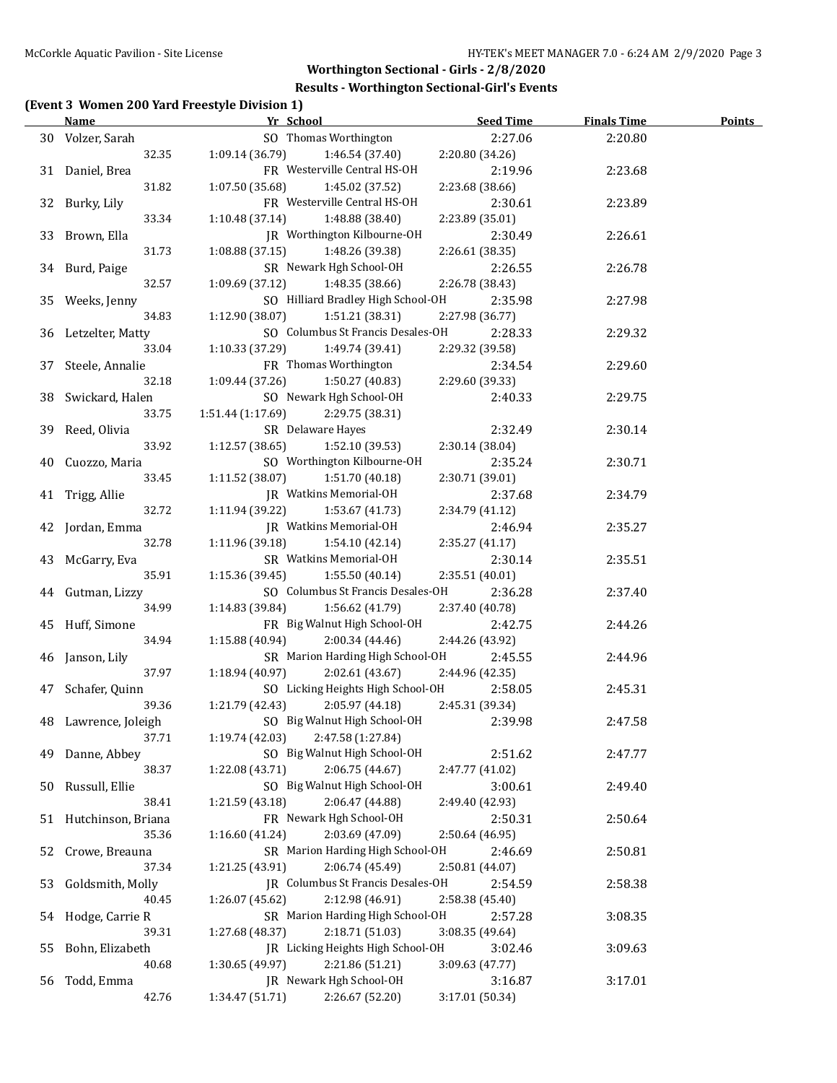#### **Results - Worthington Sectional-Girl's Events**

## **(Event 3 Women 200 Yard Freestyle Division 1)**

|    | <b>Name</b>              | Yr School                            | <b>Seed Time</b> | <b>Finals Time</b> | <b>Points</b> |
|----|--------------------------|--------------------------------------|------------------|--------------------|---------------|
|    | 30 Volzer, Sarah         | SO Thomas Worthington                | 2:27.06          | 2:20.80            |               |
|    | 32.35                    | 1:09.14(36.79)<br>1:46.54 (37.40)    | 2:20.80 (34.26)  |                    |               |
|    | 31 Daniel, Brea          | FR Westerville Central HS-OH         | 2:19.96          | 2:23.68            |               |
|    | 31.82                    | 1:07.50 (35.68)<br>1:45.02 (37.52)   | 2:23.68 (38.66)  |                    |               |
|    | 32 Burky, Lily           | FR Westerville Central HS-OH         | 2:30.61          | 2:23.89            |               |
|    | 33.34                    | 1:10.48 (37.14)<br>1:48.88 (38.40)   | 2:23.89 (35.01)  |                    |               |
|    | 33 Brown, Ella           | JR Worthington Kilbourne-OH          | 2:30.49          | 2:26.61            |               |
|    | 31.73                    | 1:08.88 (37.15)<br>1:48.26 (39.38)   | 2:26.61 (38.35)  |                    |               |
|    | 34 Burd, Paige           | SR Newark Hgh School-OH              | 2:26.55          | 2:26.78            |               |
|    | 32.57                    | 1:09.69 (37.12)<br>1:48.35 (38.66)   | 2:26.78 (38.43)  |                    |               |
|    | 35 Weeks, Jenny          | SO Hilliard Bradley High School-OH   | 2:35.98          | 2:27.98            |               |
|    | 34.83                    | 1:12.90 (38.07)<br>1:51.21 (38.31)   | 2:27.98 (36.77)  |                    |               |
|    | 36 Letzelter, Matty      | SO Columbus St Francis Desales-OH    | 2:28.33          | 2:29.32            |               |
|    | 33.04                    | 1:10.33 (37.29)<br>1:49.74 (39.41)   | 2:29.32 (39.58)  |                    |               |
| 37 | Steele, Annalie          | FR Thomas Worthington                | 2:34.54          | 2:29.60            |               |
|    | 32.18                    | 1:09.44 (37.26)<br>1:50.27 (40.83)   | 2:29.60 (39.33)  |                    |               |
|    |                          | SO Newark Hgh School-OH              | 2:40.33          |                    |               |
| 38 | Swickard, Halen<br>33.75 |                                      |                  | 2:29.75            |               |
|    |                          | 1:51.44 (1:17.69)<br>2:29.75 (38.31) |                  |                    |               |
| 39 | Reed, Olivia             | SR Delaware Hayes                    | 2:32.49          | 2:30.14            |               |
|    | 33.92                    | 1:52.10 (39.53)<br>1:12.57(38.65)    | 2:30.14 (38.04)  |                    |               |
| 40 | Cuozzo, Maria            | SO Worthington Kilbourne-OH          | 2:35.24          | 2:30.71            |               |
|    | 33.45                    | 1:51.70 (40.18)<br>1:11.52 (38.07)   | 2:30.71 (39.01)  |                    |               |
|    | 41 Trigg, Allie          | JR Watkins Memorial-OH               | 2:37.68          | 2:34.79            |               |
|    | 32.72                    | 1:11.94 (39.22)<br>1:53.67 (41.73)   | 2:34.79 (41.12)  |                    |               |
| 42 | Jordan, Emma             | JR Watkins Memorial-OH               | 2:46.94          | 2:35.27            |               |
|    | 32.78                    | 1:11.96 (39.18)<br>1:54.10 (42.14)   | 2:35.27 (41.17)  |                    |               |
|    | 43 McGarry, Eva          | SR Watkins Memorial-OH               | 2:30.14          | 2:35.51            |               |
|    | 35.91                    | 1:15.36(39.45)<br>1:55.50 (40.14)    | 2:35.51 (40.01)  |                    |               |
|    | 44 Gutman, Lizzy         | SO Columbus St Francis Desales-OH    | 2:36.28          | 2:37.40            |               |
|    | 34.99                    | 1:14.83(39.84)<br>1:56.62 (41.79)    | 2:37.40 (40.78)  |                    |               |
|    | 45 Huff, Simone          | FR Big Walnut High School-OH         | 2:42.75          | 2:44.26            |               |
|    | 34.94                    | 1:15.88(40.94)<br>2:00.34 (44.46)    | 2:44.26 (43.92)  |                    |               |
| 46 | Janson, Lily             | SR Marion Harding High School-OH     | 2:45.55          | 2:44.96            |               |
|    | 37.97                    | 1:18.94(40.97)<br>2:02.61 (43.67)    | 2:44.96 (42.35)  |                    |               |
|    | 47 Schafer, Quinn        | SO Licking Heights High School-OH    | 2:58.05          | 2:45.31            |               |
|    | 39.36                    | 1:21.79 (42.43)<br>2:05.97 (44.18)   | 2:45.31 (39.34)  |                    |               |
|    | 48 Lawrence, Joleigh     | SO Big Walnut High School-OH         | 2:39.98          | 2:47.58            |               |
|    | 37.71                    | 2:47.58 (1:27.84)<br>1:19.74(42.03)  |                  |                    |               |
| 49 | Danne, Abbey             | SO Big Walnut High School-OH         | 2:51.62          | 2:47.77            |               |
|    | 38.37                    | 1:22.08 (43.71)<br>2:06.75 (44.67)   | 2:47.77 (41.02)  |                    |               |
| 50 | Russull, Ellie           | SO Big Walnut High School-OH         | 3:00.61          | 2:49.40            |               |
|    | 38.41                    | 1:21.59 (43.18)<br>2:06.47 (44.88)   | 2:49.40 (42.93)  |                    |               |
|    | 51 Hutchinson, Briana    | FR Newark Hgh School-OH              | 2:50.31          | 2:50.64            |               |
|    | 35.36                    | 2:03.69 (47.09)<br>1:16.60(41.24)    | 2:50.64 (46.95)  |                    |               |
| 52 | Crowe, Breauna           | SR Marion Harding High School-OH     | 2:46.69          | 2:50.81            |               |
|    | 37.34                    | 2:06.74 (45.49)<br>1:21.25 (43.91)   | 2:50.81 (44.07)  |                    |               |
| 53 | Goldsmith, Molly         | JR Columbus St Francis Desales-OH    | 2:54.59          | 2:58.38            |               |
|    | 40.45                    | 1:26.07 (45.62)<br>2:12.98 (46.91)   | 2:58.38 (45.40)  |                    |               |
|    | 54 Hodge, Carrie R       | SR Marion Harding High School-OH     | 2:57.28          | 3:08.35            |               |
|    | 39.31                    | 2:18.71 (51.03)<br>1:27.68 (48.37)   | 3:08.35 (49.64)  |                    |               |
| 55 | Bohn, Elizabeth          | JR Licking Heights High School-OH    | 3:02.46          | 3:09.63            |               |
|    | 40.68                    | 2:21.86 (51.21)<br>1:30.65 (49.97)   | 3:09.63 (47.77)  |                    |               |
|    |                          | JR Newark Hgh School-OH              |                  |                    |               |
| 56 | Todd, Emma               | 1:34.47 (51.71)                      | 3:16.87          | 3:17.01            |               |
|    | 42.76                    | 2:26.67 (52.20)                      | 3:17.01 (50.34)  |                    |               |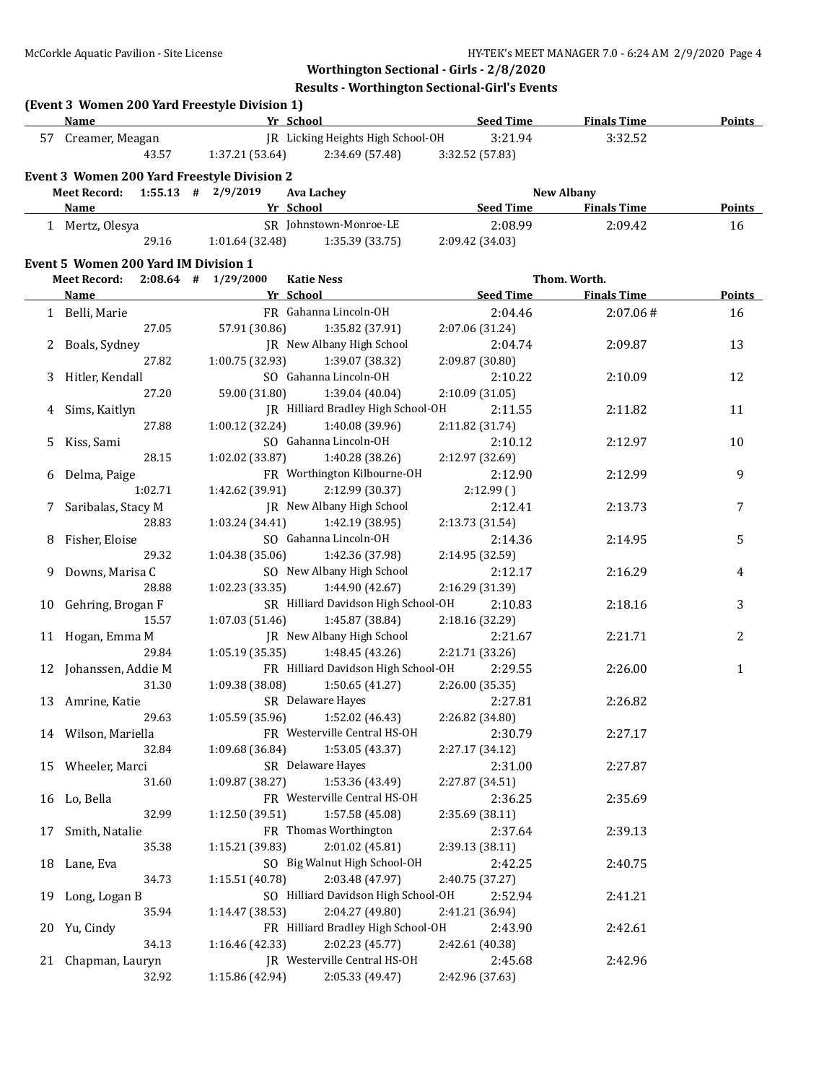**Results - Worthington Sectional-Girl's Events**

|    | (Event 3 Women 200 Yard Freestyle Division 1)<br>Name |                             | <b>Example 20 Yr School Seed Time Finals Time</b> Finals Time |                            |                       | <b>Points</b> |
|----|-------------------------------------------------------|-----------------------------|---------------------------------------------------------------|----------------------------|-----------------------|---------------|
|    | 57 Creamer, Meagan                                    |                             | JR Licking Heights High School-OH                             | 3:21.94                    | 3:32.52               |               |
|    | 43.57                                                 |                             | $1:37.21(53.64)$ $2:34.69(57.48)$                             | 3:32.52 (57.83)            |                       |               |
|    | Event 3 Women 200 Yard Freestyle Division 2           |                             |                                                               |                            |                       |               |
|    | Meet Record: $1:55.13$ # $2/9/2019$                   |                             | Ava Lachey                                                    |                            | <b>New Albany</b>     |               |
|    | Name                                                  | <b>Example 20 Yr School</b> |                                                               |                            | Seed Time Finals Time | Points        |
|    |                                                       |                             | SR Johnstown-Monroe-LE                                        |                            |                       |               |
|    | 1 Mertz, Olesya<br>29.16                              |                             | $1:01.64$ (32.48) $1:35.39$ (33.75)                           | 2:08.99<br>2:09.42 (34.03) | 2:09.42               | 16            |
|    |                                                       |                             |                                                               |                            |                       |               |
|    | <b>Event 5 Women 200 Yard IM Division 1</b>           |                             |                                                               |                            |                       |               |
|    | Meet Record: 2:08.64 # 1/29/2000                      |                             | <b>Katie Ness</b>                                             |                            | Thom. Worth.          |               |
|    | <b>Name</b>                                           | <b>Example 21 Yr School</b> |                                                               | <u>Seed Time</u>           | <b>Finals Time</b>    | <b>Points</b> |
|    | 1 Belli, Marie                                        |                             | FR Gahanna Lincoln-OH                                         | 2:04.46                    | 2:07.06#              | 16            |
|    | 27.05                                                 | 57.91 (30.86)               | 1:35.82 (37.91)                                               | 2:07.06 (31.24)            |                       |               |
|    | 2 Boals, Sydney                                       |                             | JR New Albany High School                                     | 2:04.74                    | 2:09.87               | 13            |
|    | 27.82                                                 |                             | $1:00.75(32.93)$ $1:39.07(38.32)$                             | 2:09.87 (30.80)            |                       |               |
|    | 3 Hitler, Kendall                                     |                             | SO Gahanna Lincoln-OH                                         | 2:10.22                    | 2:10.09               | 12            |
|    | 27.20                                                 |                             | 59.00 (31.80) 1:39.04 (40.04)                                 | 2:10.09 (31.05)            |                       |               |
|    | 4 Sims, Kaitlyn                                       |                             | JR Hilliard Bradley High School-OH                            | 2:11.55                    | 2:11.82               | 11            |
|    | 27.88                                                 |                             | $1:00.12$ $(32.24)$ $1:40.08$ $(39.96)$                       | 2:11.82 (31.74)            |                       |               |
| 5. | Kiss, Sami                                            |                             | SO Gahanna Lincoln-OH                                         | 2:10.12                    | 2:12.97               | 10            |
|    | 28.15                                                 | 1:02.02(33.87)              | 1:40.28 (38.26)                                               | 2:12.97 (32.69)            |                       |               |
|    | 6 Delma, Paige                                        |                             | FR Worthington Kilbourne-OH                                   | 2:12.90                    | 2:12.99               | 9             |
|    | 1:02.71                                               | 1:42.62 (39.91)             | 2:12.99 (30.37)                                               | 2:12.99()                  |                       |               |
|    | 7 Saribalas, Stacy M                                  |                             | JR New Albany High School                                     | 2:12.41                    | 2:13.73               | 7             |
|    | 28.83                                                 | 1:03.24 (34.41)             | 1:42.19 (38.95)                                               | 2:13.73 (31.54)            |                       |               |
|    | 8 Fisher, Eloise                                      |                             | SO Gahanna Lincoln-OH                                         | 2:14.36                    | 2:14.95               | 5             |
|    | 29.32                                                 | 1:04.38(35.06)              | 1:42.36 (37.98)                                               | 2:14.95 (32.59)            |                       |               |
|    | 9 Downs, Marisa C                                     |                             | SO New Albany High School                                     | 2:12.17                    | 2:16.29               | 4             |
|    | 28.88                                                 | 1:02.23(33.35)              | 1:44.90 (42.67)                                               | 2:16.29 (31.39)            |                       |               |
|    | 10 Gehring, Brogan F                                  |                             | SR Hilliard Davidson High School-OH                           | 2:10.83                    | 2:18.16               | 3             |
|    | 15.57                                                 | 1:07.03(51.46)              | 1:45.87 (38.84)                                               | 2:18.16 (32.29)            |                       |               |
|    | 11 Hogan, Emma M                                      |                             | JR New Albany High School                                     | 2:21.67                    | 2:21.71               | 2             |
|    | 29.84                                                 | 1:05.19(35.35)              | 1:48.45 (43.26)                                               | 2:21.71 (33.26)            |                       |               |
|    |                                                       |                             | FR Hilliard Davidson High School-OH                           |                            |                       |               |
|    | 12 Johanssen, Addie M<br>31.30                        |                             | 1:50.65 (41.27)                                               | 2:29.55                    | 2:26.00               | $\mathbf{1}$  |
|    |                                                       | 1:09.38 (38.08)             |                                                               | 2:26.00 (35.35)            |                       |               |
|    | 13 Amrine, Katie                                      |                             | SR Delaware Hayes<br>1:52.02 (46.43)                          | 2:27.81                    | 2:26.82               |               |
|    | 29.63                                                 | 1:05.59 (35.96)             |                                                               | 2:26.82 (34.80)            |                       |               |
|    | 14 Wilson, Mariella                                   |                             | FR Westerville Central HS-OH                                  | 2:30.79                    | 2:27.17               |               |
|    | 32.84                                                 | 1:09.68 (36.84)             | 1:53.05 (43.37)                                               | 2:27.17 (34.12)            |                       |               |
| 15 | Wheeler, Marci                                        |                             | SR Delaware Hayes                                             | 2:31.00                    | 2:27.87               |               |
|    | 31.60                                                 | 1:09.87 (38.27)             | 1:53.36 (43.49)                                               | 2:27.87 (34.51)            |                       |               |
|    | 16 Lo, Bella                                          |                             | FR Westerville Central HS-OH                                  | 2:36.25                    | 2:35.69               |               |
|    | 32.99                                                 | 1:12.50 (39.51)             | 1:57.58 (45.08)                                               | 2:35.69 (38.11)            |                       |               |
| 17 | Smith, Natalie                                        |                             | FR Thomas Worthington                                         | 2:37.64                    | 2:39.13               |               |
|    | 35.38                                                 | 1:15.21 (39.83)             | 2:01.02 (45.81)                                               | 2:39.13 (38.11)            |                       |               |
|    | 18 Lane, Eva                                          |                             | SO Big Walnut High School-OH                                  | 2:42.25                    | 2:40.75               |               |
|    | 34.73                                                 | 1:15.51 (40.78)             | 2:03.48 (47.97)                                               | 2:40.75 (37.27)            |                       |               |
| 19 | Long, Logan B                                         |                             | SO Hilliard Davidson High School-OH                           | 2:52.94                    | 2:41.21               |               |
|    | 35.94                                                 | 1:14.47(38.53)              | 2:04.27 (49.80)                                               | 2:41.21 (36.94)            |                       |               |
| 20 | Yu, Cindy                                             |                             | FR Hilliard Bradley High School-OH                            | 2:43.90                    | 2:42.61               |               |
|    | 34.13                                                 | 1:16.46 (42.33)             | 2:02.23 (45.77)                                               | 2:42.61 (40.38)            |                       |               |
| 21 | Chapman, Lauryn                                       |                             | JR Westerville Central HS-OH                                  | 2:45.68                    | 2:42.96               |               |
|    | 32.92                                                 | 1:15.86 (42.94)             | 2:05.33 (49.47)                                               | 2:42.96 (37.63)            |                       |               |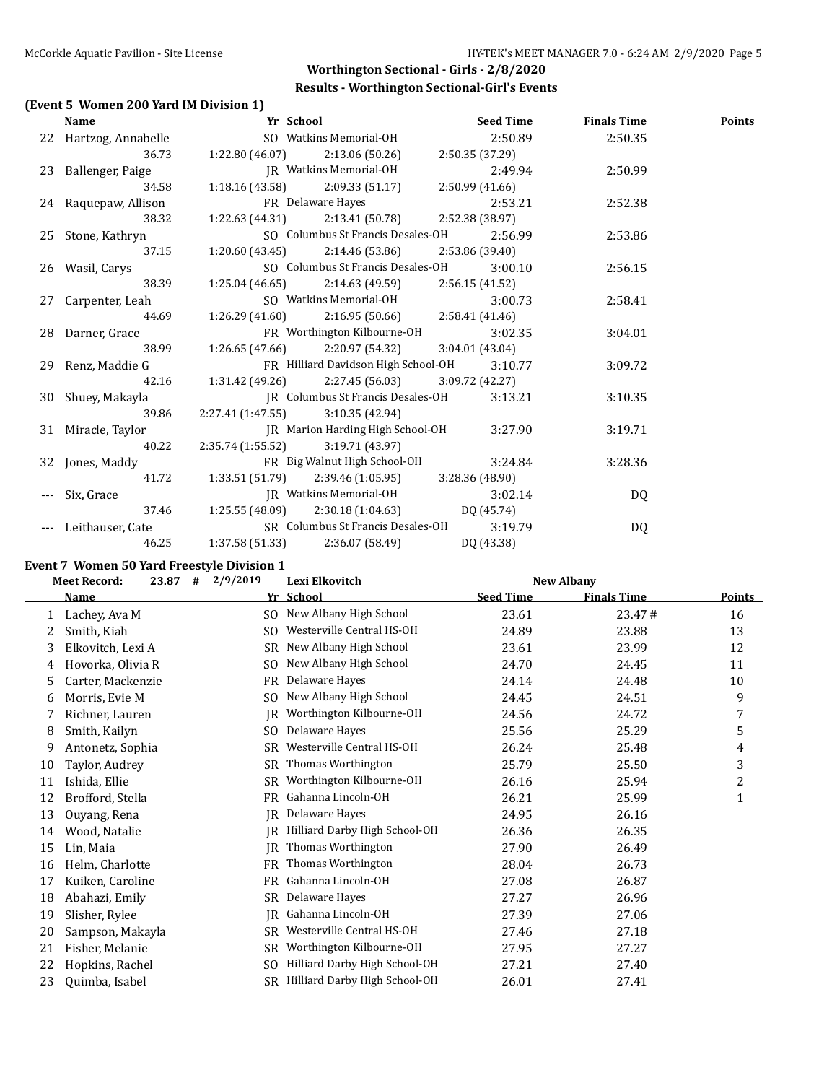## **Worthington Sectional - Girls - 2/8/2020 Results - Worthington Sectional-Girl's Events**

#### **(Event 5 Women 200 Yard IM Division 1)**

| Name                  | Yr School                           |                                                       | <b>Seed Time</b> | <b>Finals Time</b> | <b>Points</b> |
|-----------------------|-------------------------------------|-------------------------------------------------------|------------------|--------------------|---------------|
| 22 Hartzog, Annabelle |                                     | SO Watkins Memorial-OH                                | 2:50.89          | 2:50.35            |               |
| 36.73                 |                                     | $1:22.80(46.07)$ $2:13.06(50.26)$                     | 2:50.35 (37.29)  |                    |               |
| 23 Ballenger, Paige   |                                     | JR Watkins Memorial-OH                                | 2:49.94          | 2:50.99            |               |
| 34.58                 |                                     | $1:18.16(43.58)$ $2:09.33(51.17)$                     | 2:50.99(41.66)   |                    |               |
| 24 Raquepaw, Allison  |                                     | FR Delaware Hayes                                     | 2:53.21          | 2:52.38            |               |
| 38.32                 |                                     | $1:22.63(44.31)$ $2:13.41(50.78)$                     | 2:52.38 (38.97)  |                    |               |
| 25 Stone, Kathryn     |                                     | SO Columbus St Francis Desales-OH                     | 2:56.99          | 2:53.86            |               |
| 37.15                 |                                     | $1:20.60(43.45)$ $2:14.46(53.86)$                     | 2:53.86 (39.40)  |                    |               |
| 26 Wasil, Carys       |                                     | SO Columbus St Francis Desales-OH                     | 3:00.10          | 2:56.15            |               |
| 38.39                 |                                     | $1:25.04(46.65)$ $2:14.63(49.59)$                     | 2:56.15 (41.52)  |                    |               |
| 27 Carpenter, Leah    |                                     | SO Watkins Memorial-OH                                | 3:00.73          | 2:58.41            |               |
| 44.69                 |                                     | $1:26.29(41.60)$ $2:16.95(50.66)$                     | 2:58.41 (41.46)  |                    |               |
| 28 Darner, Grace      |                                     | FR Worthington Kilbourne-OH                           | 3:02.35          | 3:04.01            |               |
| 38.99                 |                                     | $1:26.65(47.66)$ $2:20.97(54.32)$                     | 3:04.01(43.04)   |                    |               |
| 29 Renz, Maddie G     |                                     | FR Hilliard Davidson High School-OH                   | 3:10.77          | 3:09.72            |               |
| 42.16                 |                                     | $1:31.42$ (49.26) $2:27.45$ (56.03) $3:09.72$ (42.27) |                  |                    |               |
| 30 Shuey, Makayla     |                                     | JR Columbus St Francis Desales-OH                     | 3:13.21          | 3:10.35            |               |
| 39.86                 | $2:27.41(1:47.55)$ $3:10.35(42.94)$ |                                                       |                  |                    |               |
| 31 Miracle, Taylor    |                                     | JR Marion Harding High School-OH                      | 3:27.90          | 3:19.71            |               |
| 40.22                 | $2:35.74(1:55.52)$ $3:19.71(43.97)$ |                                                       |                  |                    |               |
| 32 Jones, Maddy       |                                     | FR Big Walnut High School-OH                          | 3:24.84          | 3:28.36            |               |
| 41.72                 |                                     | $1:33.51(51.79)$ $2:39.46(1:05.95)$                   | 3:28.36 (48.90)  |                    |               |
| Six, Grace            |                                     | JR Watkins Memorial-OH                                | 3:02.14          | DQ                 |               |
| 37.46                 |                                     | 1:25.55 (48.09) 2:30.18 (1:04.63) DQ (45.74)          |                  |                    |               |
| --- Leithauser, Cate  |                                     | SR Columbus St Francis Desales-OH                     | 3:19.79          | DQ                 |               |
| 46.25                 |                                     | $1:37.58(51.33)$ $2:36.07(58.49)$                     | DQ (43.38)       |                    |               |

#### **Event 7 Women 50 Yard Freestyle Division 1**

|    | #<br>23.87<br><b>Meet Record:</b> | 2/9/2019       | Lexi Elkovitch<br><b>New Albany</b> |                  |                    |               |
|----|-----------------------------------|----------------|-------------------------------------|------------------|--------------------|---------------|
|    | Name                              |                | Yr School                           | <b>Seed Time</b> | <b>Finals Time</b> | <b>Points</b> |
| 1  | Lachey, Ava M                     | SO.            | New Albany High School              | 23.61            | 23.47#             | 16            |
| 2  | Smith, Kiah                       | SO.            | Westerville Central HS-OH           | 24.89            | 23.88              | 13            |
| 3  | Elkovitch, Lexi A                 | SR             | New Albany High School              | 23.61            | 23.99              | 12            |
| 4  | Hovorka, Olivia R                 | SO.            | New Albany High School              | 24.70            | 24.45              | 11            |
| 5  | Carter, Mackenzie                 | <b>FR</b>      | Delaware Hayes                      | 24.14            | 24.48              | 10            |
| 6  | Morris, Evie M                    | SO.            | New Albany High School              | 24.45            | 24.51              | 9             |
| 7  | Richner, Lauren                   | IR             | Worthington Kilbourne-OH            | 24.56            | 24.72              | 7             |
| 8  | Smith, Kailyn                     | S <sub>O</sub> | Delaware Hayes                      | 25.56            | 25.29              | 5             |
| 9  | Antonetz, Sophia                  | SR             | Westerville Central HS-OH           | 26.24            | 25.48              | 4             |
| 10 | Taylor, Audrey                    | <b>SR</b>      | Thomas Worthington                  | 25.79            | 25.50              | 3             |
| 11 | Ishida, Ellie                     | <b>SR</b>      | Worthington Kilbourne-OH            | 26.16            | 25.94              | 2             |
| 12 | Brofford, Stella                  | <b>FR</b>      | Gahanna Lincoln-OH                  | 26.21            | 25.99              | $\mathbf{1}$  |
| 13 | Ouyang, Rena                      | IR             | Delaware Hayes                      | 24.95            | 26.16              |               |
| 14 | Wood, Natalie                     | IR             | Hilliard Darby High School-OH       | 26.36            | 26.35              |               |
| 15 | Lin, Maia                         | IR             | Thomas Worthington                  | 27.90            | 26.49              |               |
| 16 | Helm, Charlotte                   | <b>FR</b>      | Thomas Worthington                  | 28.04            | 26.73              |               |
| 17 | Kuiken, Caroline                  | <b>FR</b>      | Gahanna Lincoln-OH                  | 27.08            | 26.87              |               |
| 18 | Abahazi, Emily                    | SR             | Delaware Hayes                      | 27.27            | 26.96              |               |
| 19 | Slisher, Rylee                    | IR             | Gahanna Lincoln-OH                  | 27.39            | 27.06              |               |
| 20 | Sampson, Makayla                  | SR             | Westerville Central HS-OH           | 27.46            | 27.18              |               |
| 21 | Fisher, Melanie                   | SR             | Worthington Kilbourne-OH            | 27.95            | 27.27              |               |
| 22 | Hopkins, Rachel                   | SO.            | Hilliard Darby High School-OH       | 27.21            | 27.40              |               |
| 23 | Quimba, Isabel                    | <b>SR</b>      | Hilliard Darby High School-OH       | 26.01            | 27.41              |               |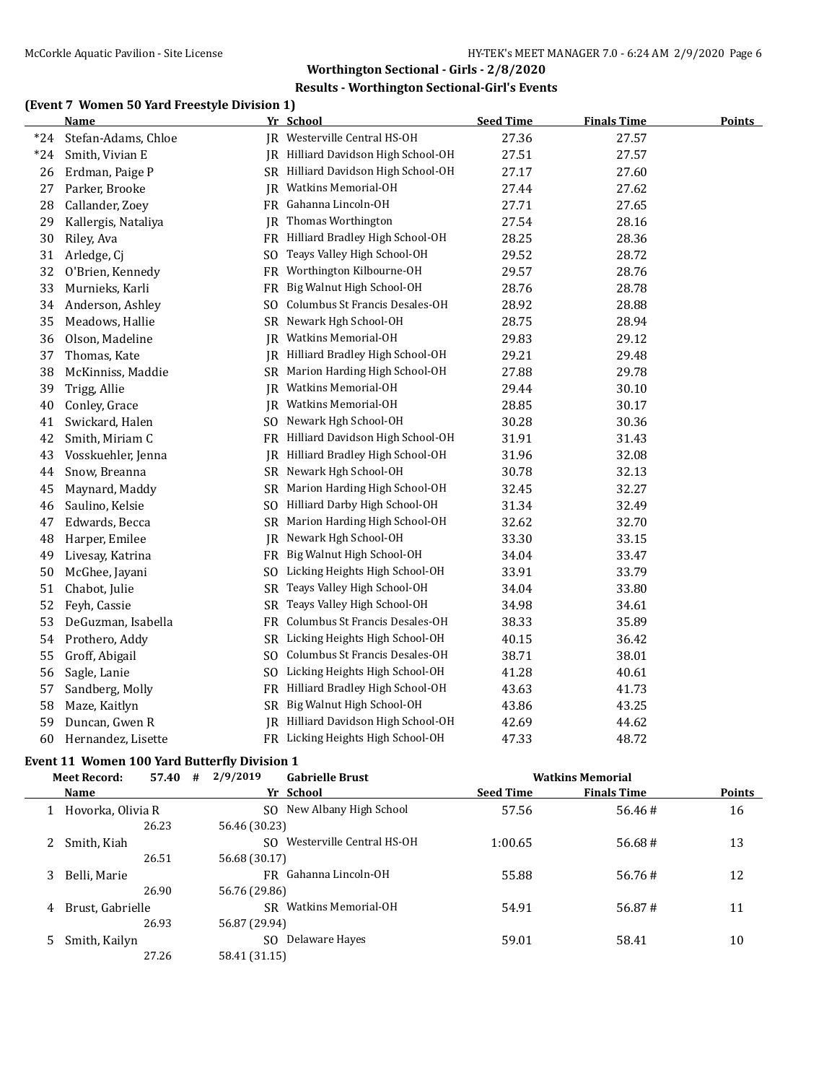#### **Results - Worthington Sectional-Girl's Events**

#### **(Event 7 Women 50 Yard Freestyle Division 1)**

|       | Name                |     | Yr School                           | <b>Seed Time</b> | <b>Finals Time</b> | <b>Points</b> |
|-------|---------------------|-----|-------------------------------------|------------------|--------------------|---------------|
| $*24$ | Stefan-Adams, Chloe | IR  | Westerville Central HS-OH           | 27.36            | 27.57              |               |
| $*24$ | Smith, Vivian E     |     | JR Hilliard Davidson High School-OH | 27.51            | 27.57              |               |
| 26    | Erdman, Paige P     |     | SR Hilliard Davidson High School-OH | 27.17            | 27.60              |               |
| 27    | Parker, Brooke      | IR  | <b>Watkins Memorial-OH</b>          | 27.44            | 27.62              |               |
| 28    | Callander, Zoey     |     | FR Gahanna Lincoln-OH               | 27.71            | 27.65              |               |
| 29    | Kallergis, Nataliya | IR  | Thomas Worthington                  | 27.54            | 28.16              |               |
| 30    | Riley, Ava          |     | FR Hilliard Bradley High School-OH  | 28.25            | 28.36              |               |
| 31    | Arledge, Cj         | SO. | Teays Valley High School-OH         | 29.52            | 28.72              |               |
| 32    | O'Brien, Kennedy    | FR  | Worthington Kilbourne-OH            | 29.57            | 28.76              |               |
| 33    | Murnieks, Karli     | FR  | Big Walnut High School-OH           | 28.76            | 28.78              |               |
| 34    | Anderson, Ashley    | SO. | Columbus St Francis Desales-OH      | 28.92            | 28.88              |               |
| 35    | Meadows, Hallie     |     | SR Newark Hgh School-OH             | 28.75            | 28.94              |               |
| 36    | Olson, Madeline     | IR  | Watkins Memorial-OH                 | 29.83            | 29.12              |               |
| 37    | Thomas, Kate        |     | JR Hilliard Bradley High School-OH  | 29.21            | 29.48              |               |
| 38    | McKinniss, Maddie   | SR  | Marion Harding High School-OH       | 27.88            | 29.78              |               |
| 39    | Trigg, Allie        | JR  | Watkins Memorial-OH                 | 29.44            | 30.10              |               |
| 40    | Conley, Grace       | IR  | <b>Watkins Memorial-OH</b>          | 28.85            | 30.17              |               |
| 41    | Swickard, Halen     | SO. | Newark Hgh School-OH                | 30.28            | 30.36              |               |
| 42    | Smith, Miriam C     |     | FR Hilliard Davidson High School-OH | 31.91            | 31.43              |               |
| 43    | Vosskuehler, Jenna  | IR  | Hilliard Bradley High School-OH     | 31.96            | 32.08              |               |
| 44    | Snow, Breanna       |     | SR Newark Hgh School-OH             | 30.78            | 32.13              |               |
| 45    | Maynard, Maddy      | SR  | Marion Harding High School-OH       | 32.45            | 32.27              |               |
| 46    | Saulino, Kelsie     |     | SO Hilliard Darby High School-OH    | 31.34            | 32.49              |               |
| 47    | Edwards, Becca      |     | SR Marion Harding High School-OH    | 32.62            | 32.70              |               |
| 48    | Harper, Emilee      |     | JR Newark Hgh School-OH             | 33.30            | 33.15              |               |
| 49    | Livesay, Katrina    |     | FR Big Walnut High School-OH        | 34.04            | 33.47              |               |
| 50    | McGhee, Jayani      |     | SO Licking Heights High School-OH   | 33.91            | 33.79              |               |
| 51    | Chabot, Julie       | SR  | Teays Valley High School-OH         | 34.04            | 33.80              |               |
| 52    | Feyh, Cassie        | SR  | Teays Valley High School-OH         | 34.98            | 34.61              |               |
| 53    | DeGuzman, Isabella  | FR  | Columbus St Francis Desales-OH      | 38.33            | 35.89              |               |
| 54    | Prothero, Addy      |     | SR Licking Heights High School-OH   | 40.15            | 36.42              |               |
| 55    | Groff, Abigail      | SO. | Columbus St Francis Desales-OH      | 38.71            | 38.01              |               |
| 56    | Sagle, Lanie        | SO. | Licking Heights High School-OH      | 41.28            | 40.61              |               |
| 57    | Sandberg, Molly     |     | FR Hilliard Bradley High School-OH  | 43.63            | 41.73              |               |
| 58    | Maze, Kaitlyn       | SR  | Big Walnut High School-OH           | 43.86            | 43.25              |               |
| 59    | Duncan, Gwen R      |     | JR Hilliard Davidson High School-OH | 42.69            | 44.62              |               |
| 60    | Hernandez, Lisette  |     | FR Licking Heights High School-OH   | 47.33            | 48.72              |               |

# **Event 11 Women 100 Yard Butterfly Division 1**

| 57.40<br>Meet Record: |                   | # | 2/9/2019<br><b>Gabrielle Brust</b> |                  | <b>Watkins Memorial</b> |        |
|-----------------------|-------------------|---|------------------------------------|------------------|-------------------------|--------|
|                       | Name              |   | Yr School                          | <b>Seed Time</b> | <b>Finals Time</b>      | Points |
|                       | Hovorka, Olivia R |   | New Albany High School<br>SO.      | 57.56            | 56.46#                  | 16     |
|                       | 26.23             |   | 56.46 (30.23)                      |                  |                         |        |
|                       | Smith, Kiah       |   | Westerville Central HS-OH<br>SO.   | 1:00.65          | 56.68#                  | 13     |
|                       | 26.51             |   | 56.68 (30.17)                      |                  |                         |        |
| 3                     | Belli, Marie      |   | FR Gahanna Lincoln-OH              | 55.88            | 56.76#                  | 12     |
|                       | 26.90             |   | 56.76 (29.86)                      |                  |                         |        |
| 4                     | Brust, Gabrielle  |   | SR Watkins Memorial-OH             | 54.91            | 56.87#                  | 11     |
|                       | 26.93             |   | 56.87 (29.94)                      |                  |                         |        |
| 5.                    | Smith, Kailyn     |   | Delaware Hayes<br>SO.              | 59.01            | 58.41                   | 10     |
|                       | 27.26             |   | 58.41 (31.15)                      |                  |                         |        |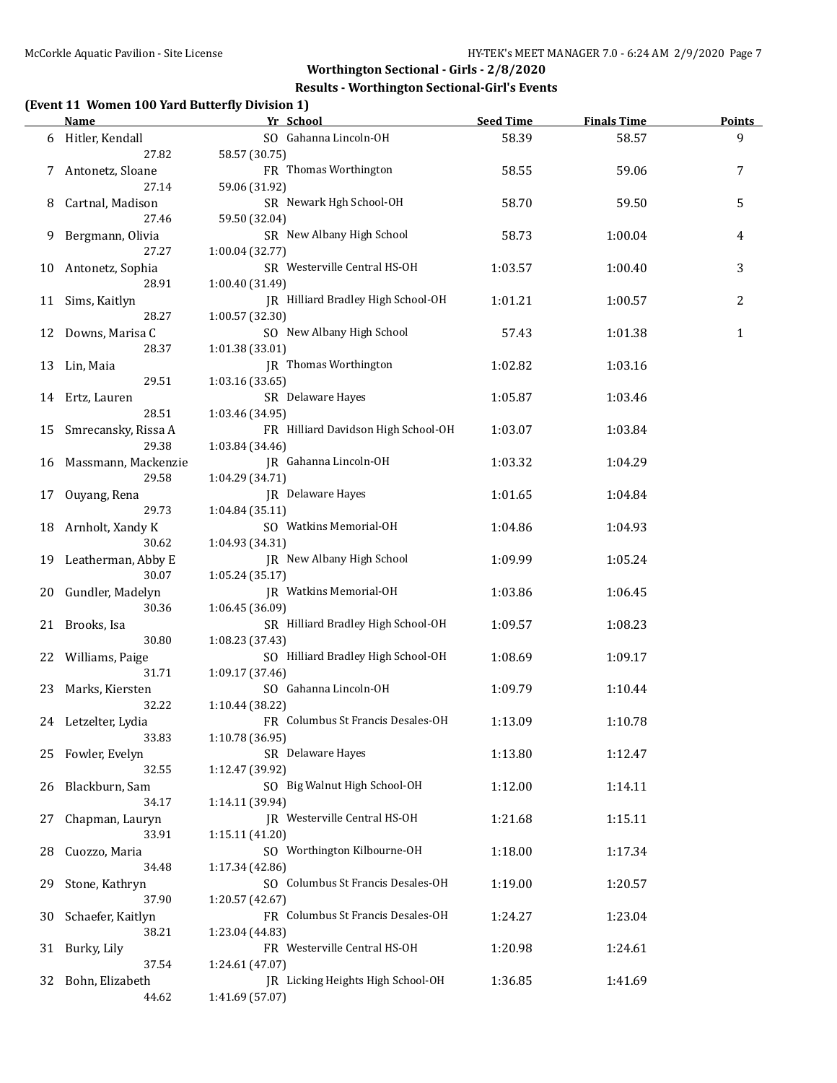#### **Results - Worthington Sectional-Girl's Events**

### **(Event 11 Women 100 Yard Butterfly Division 1)**

|    | <u>Name</u>              | Yr School                                    | <b>Seed Time</b> | <b>Finals Time</b> | <b>Points</b> |
|----|--------------------------|----------------------------------------------|------------------|--------------------|---------------|
|    | 6 Hitler, Kendall        | SO Gahanna Lincoln-OH                        | 58.39            | 58.57              | 9             |
|    | 27.82                    | 58.57 (30.75)                                |                  |                    |               |
| 7  | Antonetz, Sloane         | FR Thomas Worthington                        | 58.55            | 59.06              | 7             |
|    | 27.14                    | 59.06 (31.92)                                |                  |                    |               |
| 8  | Cartnal, Madison         | SR Newark Hgh School-OH                      | 58.70            | 59.50              | 5             |
|    | 27.46                    | 59.50 (32.04)                                |                  |                    |               |
| 9  | Bergmann, Olivia         | SR New Albany High School                    | 58.73            | 1:00.04            | 4             |
|    | 27.27                    | 1:00.04 (32.77)                              |                  |                    |               |
|    | 10 Antonetz, Sophia      | SR Westerville Central HS-OH                 | 1:03.57          | 1:00.40            | 3             |
|    | 28.91                    | 1:00.40 (31.49)                              |                  |                    |               |
|    | 11 Sims, Kaitlyn         | JR Hilliard Bradley High School-OH           | 1:01.21          | 1:00.57            | 2             |
|    | 28.27                    | 1:00.57 (32.30)<br>SO New Albany High School |                  |                    |               |
| 12 | Downs, Marisa C<br>28.37 |                                              | 57.43            | 1:01.38            | 1             |
|    | Lin, Maia                | 1:01.38 (33.01)<br>JR Thomas Worthington     | 1:02.82          | 1:03.16            |               |
| 13 | 29.51                    | 1:03.16(33.65)                               |                  |                    |               |
|    | 14 Ertz, Lauren          | SR Delaware Hayes                            | 1:05.87          | 1:03.46            |               |
|    | 28.51                    | 1:03.46 (34.95)                              |                  |                    |               |
| 15 | Smrecansky, Rissa A      | FR Hilliard Davidson High School-OH          | 1:03.07          | 1:03.84            |               |
|    | 29.38                    | 1:03.84 (34.46)                              |                  |                    |               |
|    | 16 Massmann, Mackenzie   | JR Gahanna Lincoln-OH                        | 1:03.32          | 1:04.29            |               |
|    | 29.58                    | 1:04.29 (34.71)                              |                  |                    |               |
| 17 | Ouyang, Rena             | JR Delaware Hayes                            | 1:01.65          | 1:04.84            |               |
|    | 29.73                    | 1:04.84 (35.11)                              |                  |                    |               |
| 18 | Arnholt, Xandy K         | SO Watkins Memorial-OH                       | 1:04.86          | 1:04.93            |               |
|    | 30.62                    | 1:04.93 (34.31)                              |                  |                    |               |
| 19 | Leatherman, Abby E       | JR New Albany High School                    | 1:09.99          | 1:05.24            |               |
|    | 30.07                    | 1:05.24 (35.17)                              |                  |                    |               |
| 20 | Gundler, Madelyn         | JR Watkins Memorial-OH                       | 1:03.86          | 1:06.45            |               |
|    | 30.36                    | 1:06.45 (36.09)                              |                  |                    |               |
|    | 21 Brooks, Isa           | SR Hilliard Bradley High School-OH           | 1:09.57          | 1:08.23            |               |
|    | 30.80                    | 1:08.23 (37.43)                              |                  |                    |               |
| 22 | Williams, Paige          | SO Hilliard Bradley High School-OH           | 1:08.69          | 1:09.17            |               |
|    | 31.71                    | 1:09.17 (37.46)                              |                  |                    |               |
|    | 23 Marks, Kiersten       | SO Gahanna Lincoln-OH                        | 1:09.79          | 1:10.44            |               |
|    | 32.22                    | 1:10.44 (38.22)                              |                  |                    |               |
|    | 24 Letzelter, Lydia      | FR Columbus St Francis Desales-OH            | 1:13.09          | 1:10.78            |               |
|    | 33.83                    | 1:10.78 (36.95)<br>SR Delaware Hayes         | 1:13.80          |                    |               |
| 25 | Fowler, Evelyn<br>32.55  | 1:12.47 (39.92)                              |                  | 1:12.47            |               |
|    | Blackburn, Sam           | SO Big Walnut High School-OH                 | 1:12.00          | 1:14.11            |               |
| 26 | 34.17                    | 1:14.11 (39.94)                              |                  |                    |               |
| 27 | Chapman, Lauryn          | JR Westerville Central HS-OH                 | 1:21.68          | 1:15.11            |               |
|    | 33.91                    | 1:15.11 (41.20)                              |                  |                    |               |
| 28 | Cuozzo, Maria            | SO Worthington Kilbourne-OH                  | 1:18.00          | 1:17.34            |               |
|    | 34.48                    | 1:17.34 (42.86)                              |                  |                    |               |
| 29 | Stone, Kathryn           | SO Columbus St Francis Desales-OH            | 1:19.00          | 1:20.57            |               |
|    | 37.90                    | 1:20.57 (42.67)                              |                  |                    |               |
| 30 | Schaefer, Kaitlyn        | FR Columbus St Francis Desales-OH            | 1:24.27          | 1:23.04            |               |
|    | 38.21                    | 1:23.04 (44.83)                              |                  |                    |               |
| 31 | Burky, Lily              | FR Westerville Central HS-OH                 | 1:20.98          | 1:24.61            |               |
|    | 37.54                    | 1:24.61 (47.07)                              |                  |                    |               |
| 32 | Bohn, Elizabeth          | JR Licking Heights High School-OH            | 1:36.85          | 1:41.69            |               |
|    | 44.62                    | 1:41.69 (57.07)                              |                  |                    |               |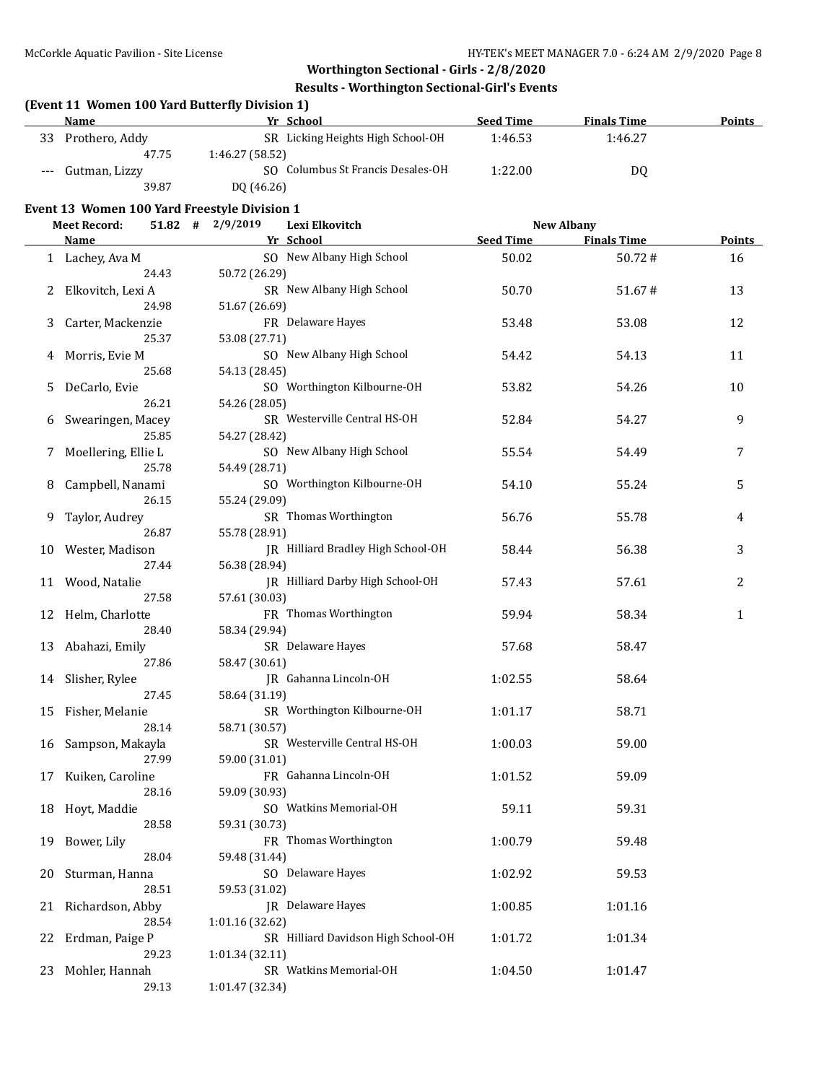## **Worthington Sectional - Girls - 2/8/2020 Results - Worthington Sectional-Girl's Events**

#### **(Event 11 Women 100 Yard Butterfly Division 1)**

|                     | <b>Name</b>    | Yr School                         | <b>Seed Time</b> | <b>Finals Time</b> | <b>Points</b> |
|---------------------|----------------|-----------------------------------|------------------|--------------------|---------------|
| 33                  | Prothero, Addy | SR Licking Heights High School-OH | 1:46.53          | 1:46.27            |               |
|                     | 47.75          | 1:46.27 (58.52)                   |                  |                    |               |
| $\qquad \qquad - -$ | Gutman, Lizzy  | SO Columbus St Francis Desales-OH | 1:22.00          | D <sub>0</sub>     |               |
|                     | 39.87          | DQ (46.26)                        |                  |                    |               |

#### **Event 13 Women 100 Yard Freestyle Division 1**

|    | <b>Meet Record:</b> | $51.82$ # 2/9/2019 |                 | Lexi Elkovitch                      | <b>New Albany</b> |  |                    |        |
|----|---------------------|--------------------|-----------------|-------------------------------------|-------------------|--|--------------------|--------|
|    | Name                |                    |                 | Yr School                           | <b>Seed Time</b>  |  | <b>Finals Time</b> | Points |
|    | 1 Lachey, Ava M     |                    |                 | SO New Albany High School           | 50.02             |  | 50.72#             | 16     |
|    |                     | 24.43              | 50.72 (26.29)   |                                     |                   |  |                    |        |
| 2  | Elkovitch, Lexi A   |                    |                 | SR New Albany High School           | 50.70             |  | 51.67#             | 13     |
|    |                     | 24.98              | 51.67 (26.69)   |                                     |                   |  |                    |        |
|    |                     |                    |                 | FR Delaware Hayes                   |                   |  | 53.08              | 12     |
| 3  | Carter, Mackenzie   |                    |                 |                                     | 53.48             |  |                    |        |
|    |                     | 25.37              | 53.08 (27.71)   |                                     |                   |  |                    |        |
| 4  | Morris, Evie M      |                    |                 | SO New Albany High School           | 54.42             |  | 54.13              | 11     |
|    |                     | 25.68              | 54.13 (28.45)   |                                     |                   |  |                    |        |
| 5  | DeCarlo, Evie       |                    |                 | SO Worthington Kilbourne-OH         | 53.82             |  | 54.26              | 10     |
|    |                     | 26.21              | 54.26 (28.05)   |                                     |                   |  |                    |        |
| 6  | Swearingen, Macey   |                    |                 | SR Westerville Central HS-OH        | 52.84             |  | 54.27              | 9      |
|    |                     | 25.85              | 54.27 (28.42)   |                                     |                   |  |                    |        |
| 7  | Moellering, Ellie L |                    |                 | SO New Albany High School           | 55.54             |  | 54.49              | 7      |
|    |                     | 25.78              | 54.49 (28.71)   |                                     |                   |  |                    |        |
| 8  | Campbell, Nanami    |                    |                 | SO Worthington Kilbourne-OH         | 54.10             |  | 55.24              | 5      |
|    |                     | 26.15              | 55.24 (29.09)   |                                     |                   |  |                    |        |
| 9  | Taylor, Audrey      |                    |                 | SR Thomas Worthington               | 56.76             |  | 55.78              | 4      |
|    |                     | 26.87              | 55.78 (28.91)   |                                     |                   |  |                    |        |
|    |                     |                    |                 | JR Hilliard Bradley High School-OH  | 58.44             |  | 56.38              | 3      |
| 10 | Wester, Madison     |                    |                 |                                     |                   |  |                    |        |
|    |                     | 27.44              | 56.38 (28.94)   |                                     |                   |  |                    |        |
| 11 | Wood, Natalie       |                    |                 | IR Hilliard Darby High School-OH    | 57.43             |  | 57.61              | 2      |
|    |                     | 27.58              | 57.61 (30.03)   |                                     |                   |  |                    |        |
|    | 12 Helm, Charlotte  |                    |                 | FR Thomas Worthington               | 59.94             |  | 58.34              | 1      |
|    |                     | 28.40              | 58.34 (29.94)   |                                     |                   |  |                    |        |
| 13 | Abahazi, Emily      |                    |                 | SR Delaware Hayes                   | 57.68             |  | 58.47              |        |
|    |                     | 27.86              | 58.47 (30.61)   |                                     |                   |  |                    |        |
| 14 | Slisher, Rylee      |                    |                 | JR Gahanna Lincoln-OH               | 1:02.55           |  | 58.64              |        |
|    |                     | 27.45              | 58.64 (31.19)   |                                     |                   |  |                    |        |
| 15 | Fisher, Melanie     |                    |                 | SR Worthington Kilbourne-OH         | 1:01.17           |  | 58.71              |        |
|    |                     | 28.14              | 58.71 (30.57)   |                                     |                   |  |                    |        |
| 16 | Sampson, Makayla    |                    |                 | SR Westerville Central HS-OH        | 1:00.03           |  | 59.00              |        |
|    |                     | 27.99              | 59.00 (31.01)   |                                     |                   |  |                    |        |
|    | Kuiken, Caroline    |                    |                 | FR Gahanna Lincoln-OH               | 1:01.52           |  | 59.09              |        |
| 17 |                     | 28.16              |                 |                                     |                   |  |                    |        |
|    |                     |                    | 59.09 (30.93)   | SO Watkins Memorial-OH              |                   |  |                    |        |
| 18 | Hoyt, Maddie        |                    |                 |                                     | 59.11             |  | 59.31              |        |
|    |                     | 28.58              | 59.31 (30.73)   |                                     |                   |  |                    |        |
|    | 19 Bower, Lily      |                    |                 | FR Thomas Worthington               | 1:00.79           |  | 59.48              |        |
|    |                     | 28.04              | 59.48 (31.44)   |                                     |                   |  |                    |        |
| 20 | Sturman, Hanna      |                    |                 | SO Delaware Hayes                   | 1:02.92           |  | 59.53              |        |
|    |                     | 28.51              | 59.53 (31.02)   |                                     |                   |  |                    |        |
| 21 | Richardson, Abby    |                    |                 | JR Delaware Hayes                   | 1:00.85           |  | 1:01.16            |        |
|    |                     | 28.54              | 1:01.16 (32.62) |                                     |                   |  |                    |        |
| 22 | Erdman, Paige P     |                    |                 | SR Hilliard Davidson High School-OH | 1:01.72           |  | 1:01.34            |        |
|    |                     | 29.23              | 1:01.34 (32.11) |                                     |                   |  |                    |        |
| 23 | Mohler, Hannah      |                    |                 | SR Watkins Memorial-OH              | 1:04.50           |  | 1:01.47            |        |
|    |                     | 29.13              | 1:01.47 (32.34) |                                     |                   |  |                    |        |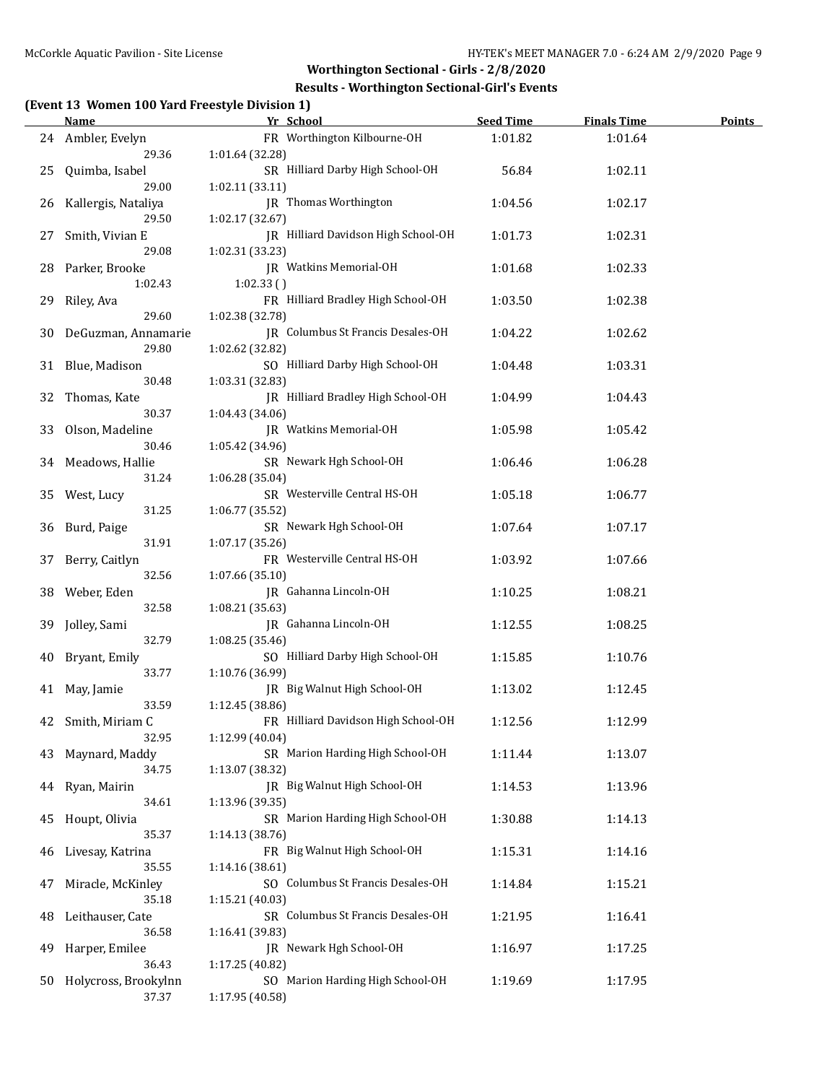#### **Results - Worthington Sectional-Girl's Events**

### **(Event 13 Women 100 Yard Freestyle Division 1)**

|     | <u>Name</u>              | Yr School                           | <b>Seed Time</b> | <b>Finals Time</b> | <b>Points</b> |
|-----|--------------------------|-------------------------------------|------------------|--------------------|---------------|
|     | 24 Ambler, Evelyn        | FR Worthington Kilbourne-OH         | 1:01.82          | 1:01.64            |               |
|     | 29.36                    | 1:01.64 (32.28)                     |                  |                    |               |
| 25  | Quimba, Isabel           | SR Hilliard Darby High School-OH    | 56.84            | 1:02.11            |               |
|     | 29.00                    | 1:02.11 (33.11)                     |                  |                    |               |
| 26  | Kallergis, Nataliya      | JR Thomas Worthington               | 1:04.56          | 1:02.17            |               |
|     | 29.50                    | 1:02.17 (32.67)                     |                  |                    |               |
| 27  | Smith, Vivian E          | JR Hilliard Davidson High School-OH | 1:01.73          | 1:02.31            |               |
|     | 29.08                    | 1:02.31 (33.23)                     |                  |                    |               |
| 28  | Parker, Brooke           | JR Watkins Memorial-OH              | 1:01.68          | 1:02.33            |               |
|     | 1:02.43                  | 1:02.33()                           |                  |                    |               |
| 29  | Riley, Ava               | FR Hilliard Bradley High School-OH  | 1:03.50          | 1:02.38            |               |
|     | 29.60                    | 1:02.38 (32.78)                     |                  |                    |               |
| 30  | DeGuzman, Annamarie      | JR Columbus St Francis Desales-OH   | 1:04.22          | 1:02.62            |               |
|     | 29.80                    | 1:02.62 (32.82)                     |                  |                    |               |
| 31  | Blue, Madison            | SO Hilliard Darby High School-OH    | 1:04.48          | 1:03.31            |               |
|     | 30.48                    | 1:03.31 (32.83)                     |                  |                    |               |
| 32  | Thomas, Kate             | JR Hilliard Bradley High School-OH  | 1:04.99          | 1:04.43            |               |
|     | 30.37                    | 1:04.43 (34.06)                     |                  |                    |               |
|     |                          | JR Watkins Memorial-OH              | 1:05.98          | 1:05.42            |               |
| 33  | Olson, Madeline<br>30.46 | 1:05.42 (34.96)                     |                  |                    |               |
|     |                          | SR Newark Hgh School-OH             |                  |                    |               |
| 34  | Meadows, Hallie          |                                     | 1:06.46          | 1:06.28            |               |
|     | 31.24                    | 1:06.28(35.04)                      |                  |                    |               |
| 35  | West, Lucy               | SR Westerville Central HS-OH        | 1:05.18          | 1:06.77            |               |
|     | 31.25                    | 1:06.77 (35.52)                     |                  |                    |               |
| 36  | Burd, Paige              | SR Newark Hgh School-OH             | 1:07.64          | 1:07.17            |               |
|     | 31.91                    | 1:07.17 (35.26)                     |                  |                    |               |
| 37  | Berry, Caitlyn           | FR Westerville Central HS-OH        | 1:03.92          | 1:07.66            |               |
|     | 32.56                    | 1:07.66 (35.10)                     |                  |                    |               |
| 38  | Weber, Eden              | JR Gahanna Lincoln-OH               | 1:10.25          | 1:08.21            |               |
|     | 32.58                    | 1:08.21 (35.63)                     |                  |                    |               |
| 39  | Jolley, Sami             | JR Gahanna Lincoln-OH               | 1:12.55          | 1:08.25            |               |
|     | 32.79                    | 1:08.25 (35.46)                     |                  |                    |               |
| 40  | Bryant, Emily            | SO Hilliard Darby High School-OH    | 1:15.85          | 1:10.76            |               |
|     | 33.77                    | 1:10.76 (36.99)                     |                  |                    |               |
|     | 41 May, Jamie            | JR Big Walnut High School-OH        | 1:13.02          | 1:12.45            |               |
|     | 33.59                    | 1:12.45 (38.86)                     |                  |                    |               |
|     | 42 Smith, Miriam C       | FR Hilliard Davidson High School-OH | 1:12.56          | 1:12.99            |               |
|     | 32.95                    | 1:12.99 (40.04)                     |                  |                    |               |
| 43. | Maynard, Maddy           | SR Marion Harding High School-OH    | 1:11.44          | 1:13.07            |               |
|     | 34.75                    | 1:13.07 (38.32)                     |                  |                    |               |
| 44  | Ryan, Mairin             | JR Big Walnut High School-OH        | 1:14.53          | 1:13.96            |               |
|     | 34.61                    | 1:13.96 (39.35)                     |                  |                    |               |
| 45  | Houpt, Olivia            | SR Marion Harding High School-OH    | 1:30.88          | 1:14.13            |               |
|     | 35.37                    | 1:14.13 (38.76)                     |                  |                    |               |
| 46  | Livesay, Katrina         | FR Big Walnut High School-OH        | 1:15.31          | 1:14.16            |               |
|     | 35.55                    | 1:14.16 (38.61)                     |                  |                    |               |
| 47  | Miracle, McKinley        | SO Columbus St Francis Desales-OH   | 1:14.84          | 1:15.21            |               |
|     | 35.18                    | 1:15.21 (40.03)                     |                  |                    |               |
| 48  | Leithauser, Cate         | SR Columbus St Francis Desales-OH   | 1:21.95          | 1:16.41            |               |
|     | 36.58                    | 1:16.41 (39.83)                     |                  |                    |               |
| 49  | Harper, Emilee           | JR Newark Hgh School-OH             | 1:16.97          | 1:17.25            |               |
|     | 36.43                    | 1:17.25 (40.82)                     |                  |                    |               |
| 50  | Holycross, Brookylnn     | SO Marion Harding High School-OH    | 1:19.69          | 1:17.95            |               |
|     | 37.37                    | 1:17.95 (40.58)                     |                  |                    |               |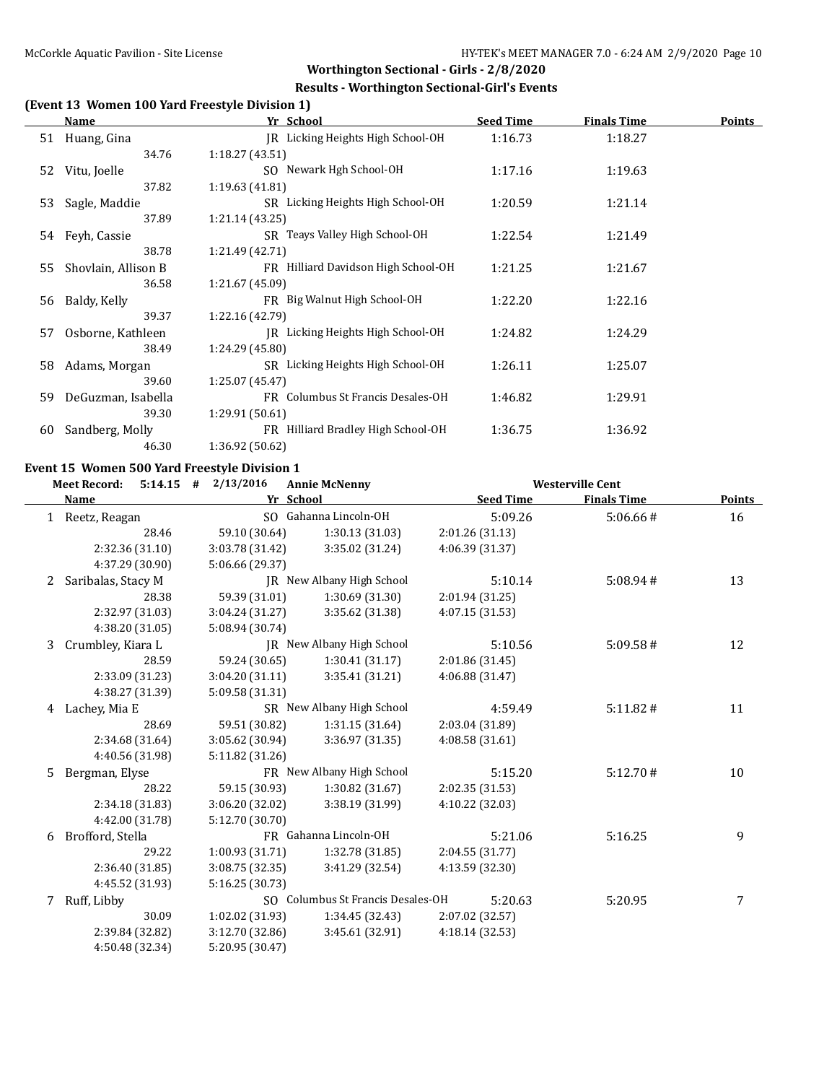#### **Results - Worthington Sectional-Girl's Events**

### **(Event 13 Women 100 Yard Freestyle Division 1)**

|     | Name                   | Yr School                           | <b>Seed Time</b> | <b>Finals Time</b> | <b>Points</b> |
|-----|------------------------|-------------------------------------|------------------|--------------------|---------------|
|     | 51 Huang, Gina         | JR Licking Heights High School-OH   | 1:16.73          | 1:18.27            |               |
|     | 34.76                  | 1:18.27(43.51)                      |                  |                    |               |
|     | 52 Vitu, Joelle        | SO Newark Hgh School-OH             | 1:17.16          | 1:19.63            |               |
|     | 37.82                  | 1:19.63(41.81)                      |                  |                    |               |
|     | 53 Sagle, Maddie       | SR Licking Heights High School-OH   | 1:20.59          | 1:21.14            |               |
|     | 37.89                  | 1:21.14(43.25)                      |                  |                    |               |
|     | 54 Feyh, Cassie        | SR Teays Valley High School-OH      | 1:22.54          | 1:21.49            |               |
|     | 38.78                  | 1:21.49(42.71)                      |                  |                    |               |
|     | 55 Shovlain, Allison B | FR Hilliard Davidson High School-OH | 1:21.25          | 1:21.67            |               |
|     | 36.58                  | 1:21.67 (45.09)                     |                  |                    |               |
|     | 56 Baldy, Kelly        | FR Big Walnut High School-OH        | 1:22.20          | 1:22.16            |               |
|     | 39.37                  | 1:22.16 (42.79)                     |                  |                    |               |
| 57  | Osborne, Kathleen      | IR Licking Heights High School-OH   | 1:24.82          | 1:24.29            |               |
|     | 38.49                  | 1:24.29 (45.80)                     |                  |                    |               |
| 58  | Adams, Morgan          | SR Licking Heights High School-OH   | 1:26.11          | 1:25.07            |               |
|     | 39.60                  | 1:25.07(45.47)                      |                  |                    |               |
| 59. | DeGuzman, Isabella     | FR Columbus St Francis Desales-OH   | 1:46.82          | 1:29.91            |               |
|     | 39.30                  | 1:29.91(50.61)                      |                  |                    |               |
| 60  | Sandberg, Molly        | FR Hilliard Bradley High School-OH  | 1:36.75          | 1:36.92            |               |
|     | 46.30                  | 1:36.92 (50.62)                     |                  |                    |               |

#### **Event 15 Women 500 Yard Freestyle Division 1**

|              | <b>Meet Record:</b><br>$5:14.15$ # | 2/13/2016       | <b>Annie McNenny</b>              |                  | <b>Westerville Cent</b> |               |
|--------------|------------------------------------|-----------------|-----------------------------------|------------------|-------------------------|---------------|
|              | <b>Name</b>                        | Yr School       |                                   | <b>Seed Time</b> | <b>Finals Time</b>      | <b>Points</b> |
| $\mathbf{1}$ | Reetz, Reagan                      |                 | SO Gahanna Lincoln-OH             | 5:09.26          | 5:06.66#                | 16            |
|              | 28.46                              | 59.10 (30.64)   | 1:30.13 (31.03)                   | 2:01.26 (31.13)  |                         |               |
|              | 2:32.36 (31.10)                    | 3:03.78 (31.42) | 3:35.02 (31.24)                   | 4:06.39 (31.37)  |                         |               |
|              | 4:37.29 (30.90)                    | 5:06.66 (29.37) |                                   |                  |                         |               |
| 2            | Saribalas, Stacy M                 |                 | JR New Albany High School         | 5:10.14          | 5:08.94#                | 13            |
|              | 28.38                              | 59.39 (31.01)   | 1:30.69 (31.30)                   | 2:01.94 (31.25)  |                         |               |
|              | 2:32.97 (31.03)                    | 3:04.24 (31.27) | 3:35.62 (31.38)                   | 4:07.15 (31.53)  |                         |               |
|              | 4:38.20 (31.05)                    | 5:08.94 (30.74) |                                   |                  |                         |               |
| 3            | Crumbley, Kiara L                  |                 | JR New Albany High School         | 5:10.56          | 5:09.58#                | 12            |
|              | 28.59                              | 59.24 (30.65)   | 1:30.41(31.17)                    | 2:01.86 (31.45)  |                         |               |
|              | 2:33.09 (31.23)                    | 3:04.20 (31.11) | 3:35.41 (31.21)                   | 4:06.88 (31.47)  |                         |               |
|              | 4:38.27 (31.39)                    | 5:09.58 (31.31) |                                   |                  |                         |               |
| 4            | Lachey, Mia E                      |                 | SR New Albany High School         | 4:59.49          | 5:11.82#                | 11            |
|              | 28.69                              | 59.51 (30.82)   | 1:31.15(31.64)                    | 2:03.04 (31.89)  |                         |               |
|              | 2:34.68 (31.64)                    | 3:05.62 (30.94) | 3:36.97 (31.35)                   | 4:08.58(31.61)   |                         |               |
|              | 4:40.56 (31.98)                    | 5:11.82 (31.26) |                                   |                  |                         |               |
| 5.           | Bergman, Elyse                     |                 | FR New Albany High School         | 5:15.20          | 5:12.70#                | 10            |
|              | 28.22                              | 59.15 (30.93)   | 1:30.82 (31.67)                   | 2:02.35 (31.53)  |                         |               |
|              | 2:34.18 (31.83)                    | 3:06.20 (32.02) | 3:38.19 (31.99)                   | 4:10.22 (32.03)  |                         |               |
|              | 4:42.00 (31.78)                    | 5:12.70 (30.70) |                                   |                  |                         |               |
| 6            | Brofford, Stella                   |                 | FR Gahanna Lincoln-OH             | 5:21.06          | 5:16.25                 | 9             |
|              | 29.22                              | 1:00.93 (31.71) | 1:32.78 (31.85)                   | 2:04.55 (31.77)  |                         |               |
|              | 2:36.40 (31.85)                    | 3:08.75 (32.35) | 3:41.29 (32.54)                   | 4:13.59 (32.30)  |                         |               |
|              | 4:45.52 (31.93)                    | 5:16.25 (30.73) |                                   |                  |                         |               |
| 7            | Ruff, Libby                        |                 | SO Columbus St Francis Desales-OH | 5:20.63          | 5:20.95                 | 7             |
|              | 30.09                              | 1:02.02 (31.93) | 1:34.45(32.43)                    | 2:07.02 (32.57)  |                         |               |
|              | 2:39.84 (32.82)                    | 3:12.70 (32.86) | 3:45.61 (32.91)                   | 4:18.14 (32.53)  |                         |               |
|              | 4:50.48 (32.34)                    | 5:20.95 (30.47) |                                   |                  |                         |               |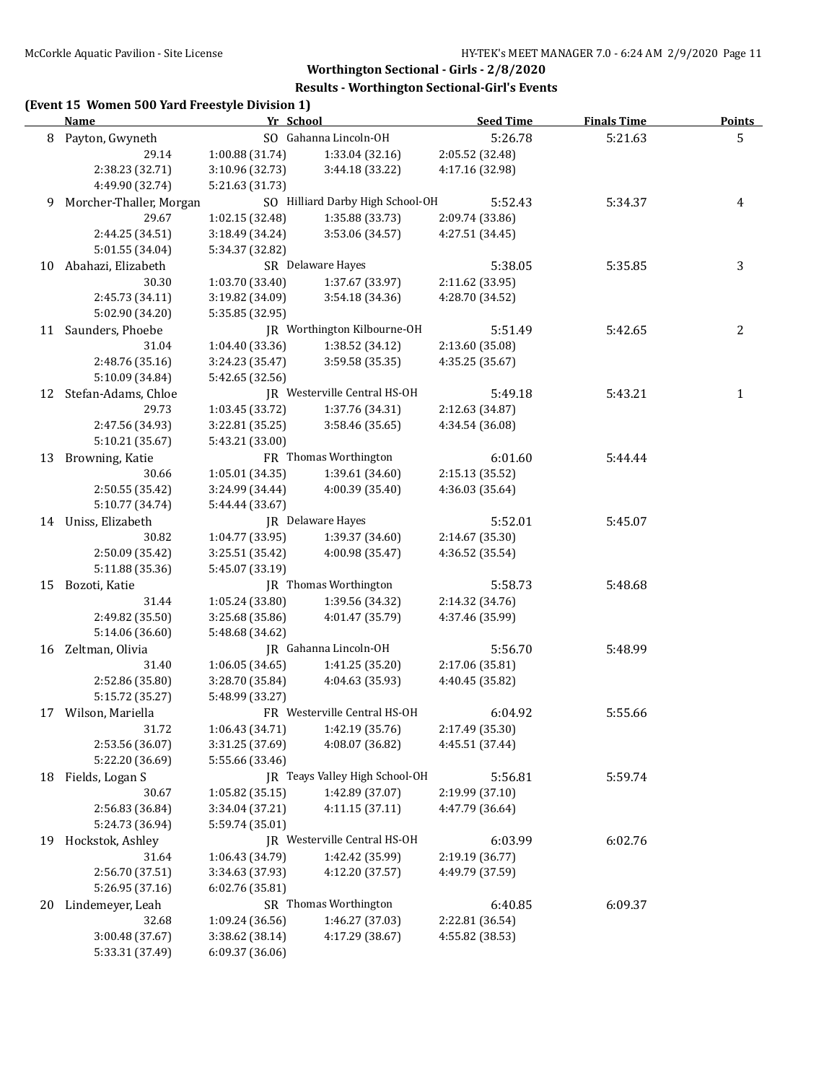#### **Results - Worthington Sectional-Girl's Events**

# **(Event 15 Women 500 Yard Freestyle Division 1)**

|    | <b>Name</b>             | Yr School       |                                  | <b>Seed Time</b> | <b>Finals Time</b> | <b>Points</b> |
|----|-------------------------|-----------------|----------------------------------|------------------|--------------------|---------------|
| 8  | Payton, Gwyneth         |                 | SO Gahanna Lincoln-OH            | 5:26.78          | 5:21.63            | 5             |
|    | 29.14                   | 1:00.88 (31.74) | 1:33.04 (32.16)                  | 2:05.52 (32.48)  |                    |               |
|    | 2:38.23 (32.71)         | 3:10.96 (32.73) | 3:44.18 (33.22)                  | 4:17.16 (32.98)  |                    |               |
|    | 4:49.90 (32.74)         | 5:21.63 (31.73) |                                  |                  |                    |               |
| 9  | Morcher-Thaller, Morgan |                 | SO Hilliard Darby High School-OH | 5:52.43          | 5:34.37            | 4             |
|    | 29.67                   | 1:02.15 (32.48) | 1:35.88 (33.73)                  | 2:09.74 (33.86)  |                    |               |
|    | 2:44.25 (34.51)         | 3:18.49 (34.24) | 3:53.06 (34.57)                  | 4:27.51 (34.45)  |                    |               |
|    | 5:01.55 (34.04)         | 5:34.37 (32.82) |                                  |                  |                    |               |
| 10 | Abahazi, Elizabeth      |                 | SR Delaware Hayes                | 5:38.05          | 5:35.85            | 3             |
|    | 30.30                   | 1:03.70 (33.40) | 1:37.67 (33.97)                  | 2:11.62 (33.95)  |                    |               |
|    | 2:45.73 (34.11)         | 3:19.82 (34.09) | 3:54.18 (34.36)                  | 4:28.70 (34.52)  |                    |               |
|    | 5:02.90 (34.20)         | 5:35.85 (32.95) |                                  |                  |                    |               |
|    | 11 Saunders, Phoebe     |                 | JR Worthington Kilbourne-OH      | 5:51.49          | 5:42.65            | 2             |
|    | 31.04                   | 1:04.40 (33.36) | 1:38.52 (34.12)                  | 2:13.60 (35.08)  |                    |               |
|    | 2:48.76 (35.16)         | 3:24.23 (35.47) | 3:59.58 (35.35)                  | 4:35.25 (35.67)  |                    |               |
|    | 5:10.09 (34.84)         | 5:42.65 (32.56) |                                  |                  |                    |               |
|    | 12 Stefan-Adams, Chloe  |                 | JR Westerville Central HS-OH     | 5:49.18          | 5:43.21            | $\mathbf{1}$  |
|    | 29.73                   | 1:03.45 (33.72) | 1:37.76 (34.31)                  | 2:12.63 (34.87)  |                    |               |
|    | 2:47.56 (34.93)         | 3:22.81 (35.25) | 3:58.46 (35.65)                  | 4:34.54 (36.08)  |                    |               |
|    | 5:10.21 (35.67)         | 5:43.21 (33.00) |                                  |                  |                    |               |
| 13 | Browning, Katie         |                 | FR Thomas Worthington            | 6:01.60          | 5:44.44            |               |
|    | 30.66                   | 1:05.01 (34.35) | 1:39.61 (34.60)                  | 2:15.13 (35.52)  |                    |               |
|    | 2:50.55 (35.42)         | 3:24.99 (34.44) | 4:00.39 (35.40)                  | 4:36.03 (35.64)  |                    |               |
|    | 5:10.77 (34.74)         | 5:44.44 (33.67) |                                  |                  |                    |               |
|    | 14 Uniss, Elizabeth     |                 | JR Delaware Hayes                | 5:52.01          | 5:45.07            |               |
|    | 30.82                   | 1:04.77 (33.95) | 1:39.37 (34.60)                  | 2:14.67 (35.30)  |                    |               |
|    | 2:50.09 (35.42)         | 3:25.51 (35.42) | 4:00.98 (35.47)                  | 4:36.52 (35.54)  |                    |               |
|    | 5:11.88 (35.36)         | 5:45.07 (33.19) |                                  |                  |                    |               |
| 15 | Bozoti, Katie           |                 | JR Thomas Worthington            | 5:58.73          | 5:48.68            |               |
|    | 31.44                   | 1:05.24 (33.80) | 1:39.56 (34.32)                  | 2:14.32 (34.76)  |                    |               |
|    | 2:49.82 (35.50)         |                 | 4:01.47 (35.79)                  | 4:37.46 (35.99)  |                    |               |
|    | 5:14.06 (36.60)         | 3:25.68 (35.86) |                                  |                  |                    |               |
|    |                         | 5:48.68 (34.62) | JR Gahanna Lincoln-OH            | 5:56.70          |                    |               |
|    | 16 Zeltman, Olivia      |                 |                                  |                  | 5:48.99            |               |
|    | 31.40                   | 1:06.05(34.65)  | 1:41.25 (35.20)                  | 2:17.06 (35.81)  |                    |               |
|    | 2:52.86 (35.80)         | 3:28.70 (35.84) | 4:04.63 (35.93)                  | 4:40.45 (35.82)  |                    |               |
|    | 5:15.72 (35.27)         | 5:48.99 (33.27) | FR Westerville Central HS-OH     |                  |                    |               |
|    | 17 Wilson, Mariella     |                 |                                  | 6:04.92          | 5:55.66            |               |
|    | 31.72                   | 1:06.43 (34.71) | 1:42.19 (35.76)                  | 2:17.49 (35.30)  |                    |               |
|    | 2:53.56 (36.07)         | 3:31.25 (37.69) | 4:08.07 (36.82)                  | 4:45.51 (37.44)  |                    |               |
|    | 5:22.20 (36.69)         | 5:55.66 (33.46) |                                  |                  |                    |               |
| 18 | Fields, Logan S         |                 | JR Teays Valley High School-OH   | 5:56.81          | 5:59.74            |               |
|    | 30.67                   | 1:05.82 (35.15) | 1:42.89 (37.07)                  | 2:19.99 (37.10)  |                    |               |
|    | 2:56.83 (36.84)         | 3:34.04 (37.21) | 4:11.15 (37.11)                  | 4:47.79 (36.64)  |                    |               |
|    | 5:24.73 (36.94)         | 5:59.74 (35.01) |                                  |                  |                    |               |
| 19 | Hockstok, Ashley        |                 | JR Westerville Central HS-OH     | 6:03.99          | 6:02.76            |               |
|    | 31.64                   | 1:06.43 (34.79) | 1:42.42 (35.99)                  | 2:19.19 (36.77)  |                    |               |
|    | 2:56.70 (37.51)         | 3:34.63 (37.93) | 4:12.20 (37.57)                  | 4:49.79 (37.59)  |                    |               |
|    | 5:26.95 (37.16)         | 6:02.76 (35.81) |                                  |                  |                    |               |
| 20 | Lindemeyer, Leah        |                 | SR Thomas Worthington            | 6:40.85          | 6:09.37            |               |
|    | 32.68                   | 1:09.24 (36.56) | 1:46.27 (37.03)                  | 2:22.81 (36.54)  |                    |               |
|    | 3:00.48 (37.67)         | 3:38.62 (38.14) | 4:17.29 (38.67)                  | 4:55.82 (38.53)  |                    |               |
|    | 5:33.31 (37.49)         | 6:09.37 (36.06) |                                  |                  |                    |               |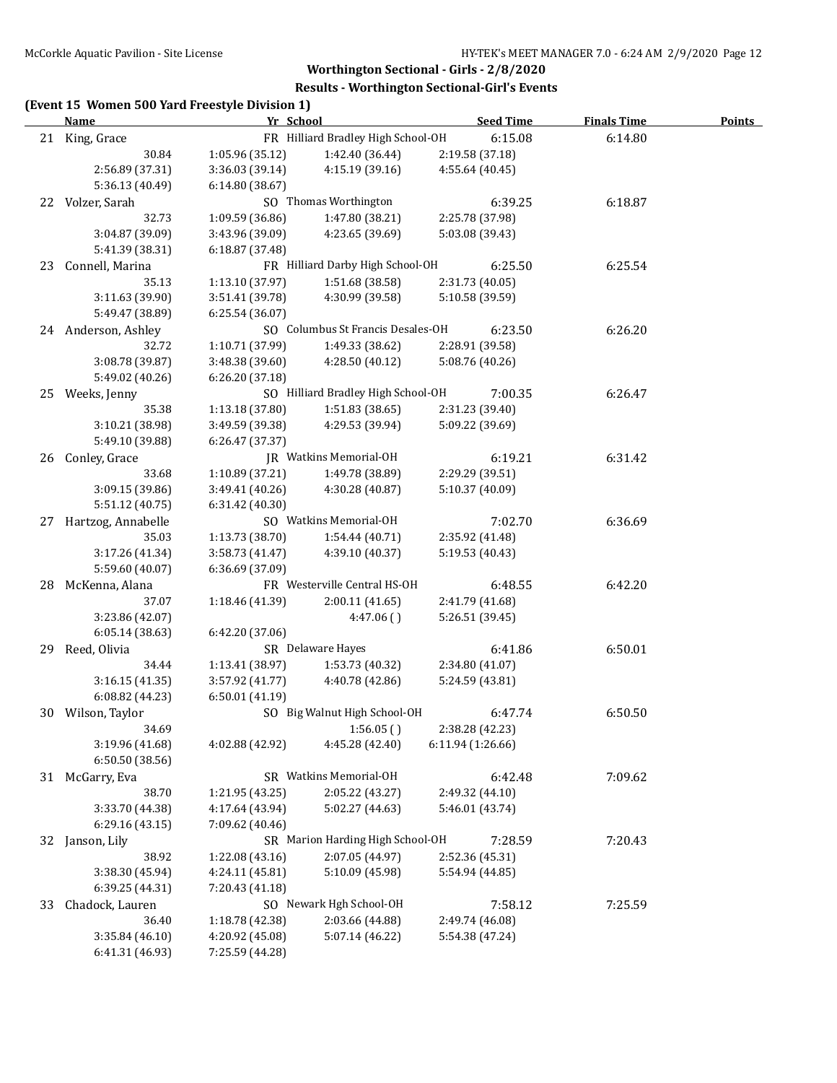|    | (Event 15 Women 500 Yard Freestyle Division 1)<br>Name | Yr School       |                                    |                   | <b>Seed Time</b> | <b>Finals Time</b> | Points |
|----|--------------------------------------------------------|-----------------|------------------------------------|-------------------|------------------|--------------------|--------|
|    | 21 King, Grace                                         |                 | FR Hilliard Bradley High School-OH |                   | 6:15.08          | 6:14.80            |        |
|    | 30.84                                                  | 1:05.96 (35.12) | 1:42.40 (36.44)                    |                   | 2:19.58 (37.18)  |                    |        |
|    | 2:56.89 (37.31)                                        | 3:36.03 (39.14) | 4:15.19 (39.16)                    |                   | 4:55.64 (40.45)  |                    |        |
|    | 5:36.13 (40.49)                                        | 6:14.80 (38.67) |                                    |                   |                  |                    |        |
| 22 | Volzer, Sarah                                          |                 | SO Thomas Worthington              |                   | 6:39.25          | 6:18.87            |        |
|    | 32.73                                                  | 1:09.59 (36.86) | 1:47.80 (38.21)                    |                   | 2:25.78 (37.98)  |                    |        |
|    | 3:04.87 (39.09)                                        | 3:43.96 (39.09) | 4:23.65 (39.69)                    |                   | 5:03.08 (39.43)  |                    |        |
|    | 5:41.39 (38.31)                                        | 6:18.87 (37.48) |                                    |                   |                  |                    |        |
| 23 | Connell, Marina                                        |                 | FR Hilliard Darby High School-OH   |                   | 6:25.50          | 6:25.54            |        |
|    | 35.13                                                  | 1:13.10 (37.97) | 1:51.68 (38.58)                    |                   | 2:31.73 (40.05)  |                    |        |
|    | 3:11.63 (39.90)                                        | 3:51.41 (39.78) | 4:30.99 (39.58)                    |                   | 5:10.58 (39.59)  |                    |        |
|    | 5:49.47 (38.89)                                        | 6:25.54 (36.07) |                                    |                   |                  |                    |        |
|    | 24 Anderson, Ashley                                    |                 | SO Columbus St Francis Desales-OH  |                   | 6:23.50          | 6:26.20            |        |
|    | 32.72                                                  | 1:10.71 (37.99) | 1:49.33 (38.62)                    |                   | 2:28.91 (39.58)  |                    |        |
|    | 3:08.78 (39.87)                                        | 3:48.38 (39.60) | 4:28.50 (40.12)                    |                   | 5:08.76 (40.26)  |                    |        |
|    | 5:49.02 (40.26)                                        | 6:26.20 (37.18) |                                    |                   |                  |                    |        |
| 25 | Weeks, Jenny                                           |                 | SO Hilliard Bradley High School-OH |                   | 7:00.35          | 6:26.47            |        |
|    | 35.38                                                  | 1:13.18 (37.80) | 1:51.83 (38.65)                    |                   | 2:31.23 (39.40)  |                    |        |
|    | 3:10.21 (38.98)                                        | 3:49.59 (39.38) | 4:29.53 (39.94)                    |                   | 5:09.22 (39.69)  |                    |        |
|    | 5:49.10 (39.88)                                        | 6:26.47 (37.37) |                                    |                   |                  |                    |        |
| 26 | Conley, Grace                                          |                 | <b>IR</b> Watkins Memorial-OH      |                   | 6:19.21          | 6:31.42            |        |
|    | 33.68                                                  | 1:10.89 (37.21) | 1:49.78 (38.89)                    |                   | 2:29.29 (39.51)  |                    |        |
|    | 3:09.15 (39.86)                                        | 3:49.41 (40.26) | 4:30.28 (40.87)                    |                   | 5:10.37 (40.09)  |                    |        |
|    | 5:51.12 (40.75)                                        | 6:31.42(40.30)  |                                    |                   |                  |                    |        |
| 27 | Hartzog, Annabelle                                     |                 | SO Watkins Memorial-OH             |                   | 7:02.70          | 6:36.69            |        |
|    | 35.03                                                  | 1:13.73 (38.70) | 1:54.44 (40.71)                    |                   | 2:35.92 (41.48)  |                    |        |
|    | 3:17.26 (41.34)                                        | 3:58.73 (41.47) | 4:39.10 (40.37)                    |                   | 5:19.53 (40.43)  |                    |        |
|    | 5:59.60 (40.07)                                        | 6:36.69 (37.09) |                                    |                   |                  |                    |        |
| 28 | McKenna, Alana                                         |                 | FR Westerville Central HS-OH       |                   | 6:48.55          | 6:42.20            |        |
|    | 37.07                                                  | 1:18.46 (41.39) | 2:00.11(41.65)                     |                   | 2:41.79 (41.68)  |                    |        |
|    | 3:23.86 (42.07)                                        |                 | 4:47.06()                          |                   | 5:26.51 (39.45)  |                    |        |
|    | 6:05.14(38.63)                                         | 6:42.20 (37.06) |                                    |                   |                  |                    |        |
| 29 | Reed, Olivia                                           |                 | SR Delaware Hayes                  |                   | 6:41.86          | 6:50.01            |        |
|    | 34.44                                                  | 1:13.41 (38.97) | 1:53.73 (40.32)                    |                   | 2:34.80 (41.07)  |                    |        |
|    | 3:16.15(41.35)                                         | 3:57.92 (41.77) | 4:40.78 (42.86)                    |                   | 5:24.59 (43.81)  |                    |        |
|    |                                                        | 6:50.01(41.19)  |                                    |                   |                  |                    |        |
|    | 6:08.82 (44.23)                                        |                 | SO Big Walnut High School-OH       |                   |                  |                    |        |
|    | 30 Wilson, Taylor                                      |                 |                                    |                   | 6:47.74          | 6:50.50            |        |
|    | 34.69                                                  |                 | 1:56.05()                          |                   | 2:38.28 (42.23)  |                    |        |
|    | 3:19.96 (41.68)                                        | 4:02.88 (42.92) | 4:45.28 (42.40)                    | 6:11.94 (1:26.66) |                  |                    |        |
|    | 6:50.50 (38.56)                                        |                 |                                    |                   |                  |                    |        |
| 31 | McGarry, Eva                                           |                 | SR Watkins Memorial-OH             |                   | 6:42.48          | 7:09.62            |        |
|    | 38.70                                                  | 1:21.95 (43.25) | 2:05.22 (43.27)                    |                   | 2:49.32 (44.10)  |                    |        |
|    | 3:33.70 (44.38)                                        | 4:17.64 (43.94) | 5:02.27 (44.63)                    |                   | 5:46.01 (43.74)  |                    |        |
|    | 6:29.16 (43.15)                                        | 7:09.62 (40.46) |                                    |                   |                  |                    |        |
| 32 | Janson, Lily                                           |                 | SR Marion Harding High School-OH   |                   | 7:28.59          | 7:20.43            |        |
|    | 38.92                                                  | 1:22.08 (43.16) | 2:07.05 (44.97)                    |                   | 2:52.36 (45.31)  |                    |        |
|    | 3:38.30 (45.94)                                        | 4:24.11 (45.81) | 5:10.09 (45.98)                    |                   | 5:54.94 (44.85)  |                    |        |
|    | 6:39.25 (44.31)                                        | 7:20.43 (41.18) |                                    |                   |                  |                    |        |

33 Chadock, Lauren SO Newark Hgh School-OH 7:58.12 7:25.59 36.40 1:18.78 (42.38) 2:03.66 (44.88) 2:49.74 (46.08)

3:35.84 (46.10) 4:20.92 (45.08) 5:07.14 (46.22) 5:54.38 (47.24)

6:41.31 (46.93) 7:25.59 (44.28)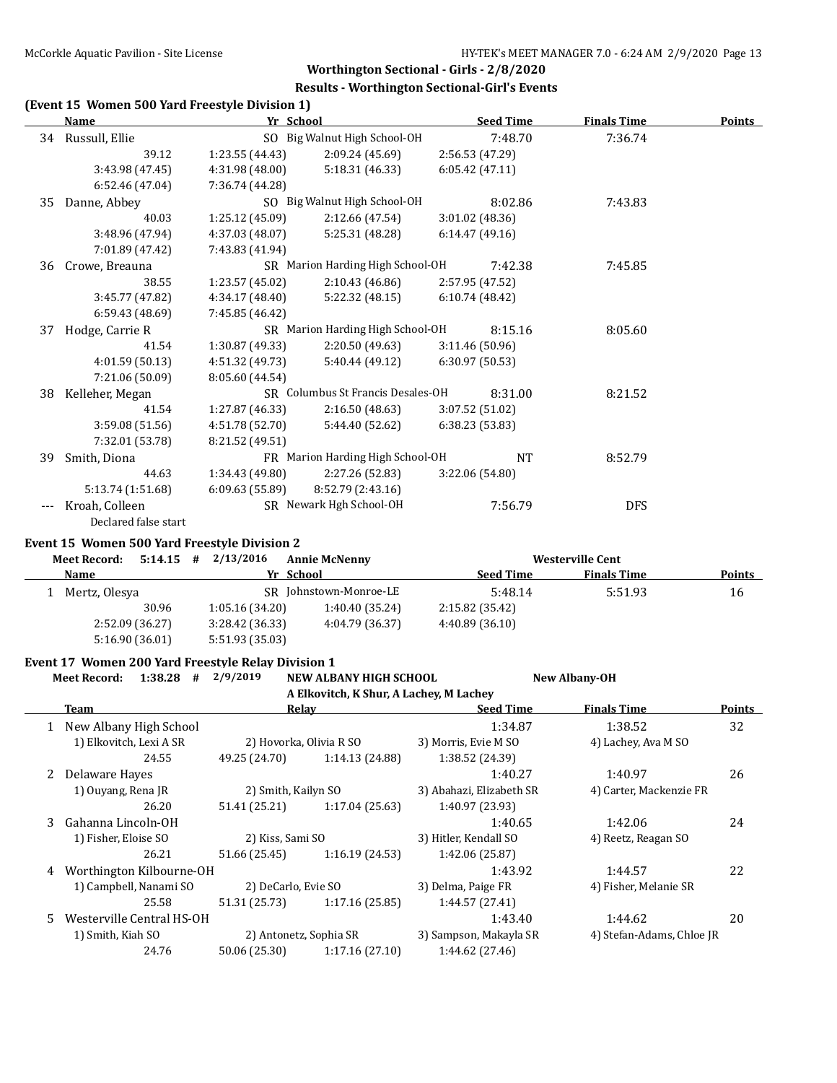#### **Results - Worthington Sectional-Girl's Events**

|    | Name                                               | Yr School                               |                                         | <b>Seed Time</b>                          | <b>Finals Time</b>        | <b>Points</b> |
|----|----------------------------------------------------|-----------------------------------------|-----------------------------------------|-------------------------------------------|---------------------------|---------------|
|    | 34 Russull, Ellie                                  |                                         | SO Big Walnut High School-OH            | 7:48.70                                   | 7:36.74                   |               |
|    | 39.12                                              | 1:23.55 (44.43)                         | 2:09.24 (45.69)                         | 2:56.53 (47.29)                           |                           |               |
|    | 3:43.98 (47.45)                                    | 4:31.98 (48.00)                         | 5:18.31 (46.33)                         | 6:05.42 (47.11)                           |                           |               |
|    | 6:52.46 (47.04)                                    | 7:36.74 (44.28)                         |                                         |                                           |                           |               |
| 35 | Danne, Abbey                                       |                                         | SO Big Walnut High School-OH            | 8:02.86                                   | 7:43.83                   |               |
|    | 40.03                                              | 1:25.12 (45.09)                         | 2:12.66 (47.54)                         | 3:01.02 (48.36)                           |                           |               |
|    | 3:48.96 (47.94)                                    | 4:37.03 (48.07)                         | 5:25.31 (48.28)                         | 6:14.47(49.16)                            |                           |               |
|    | 7:01.89 (47.42)                                    | 7:43.83 (41.94)                         |                                         |                                           |                           |               |
| 36 | Crowe, Breauna                                     |                                         | SR Marion Harding High School-OH        | 7:42.38                                   | 7:45.85                   |               |
|    | 38.55                                              | 1:23.57 (45.02)                         | 2:10.43 (46.86)                         | 2:57.95 (47.52)                           |                           |               |
|    | 3:45.77 (47.82)                                    | 4:34.17 (48.40)                         | 5:22.32 (48.15)                         | 6:10.74 (48.42)                           |                           |               |
|    | 6:59.43 (48.69)                                    | 7:45.85 (46.42)                         |                                         |                                           |                           |               |
|    | 37 Hodge, Carrie R                                 |                                         | SR Marion Harding High School-OH        | 8:15.16                                   | 8:05.60                   |               |
|    | 41.54                                              | 1:30.87 (49.33)                         | 2:20.50 (49.63)                         | 3:11.46 (50.96)                           |                           |               |
|    | 4:01.59 (50.13)                                    | 4:51.32 (49.73)                         | 5:40.44 (49.12)                         | 6:30.97 (50.53)                           |                           |               |
|    | 7:21.06 (50.09)                                    | 8:05.60 (44.54)                         |                                         |                                           |                           |               |
| 38 | Kelleher, Megan                                    |                                         | SR Columbus St Francis Desales-OH       | 8:31.00                                   | 8:21.52                   |               |
|    | 41.54                                              | 1:27.87 (46.33)                         | 2:16.50(48.63)                          | 3:07.52 (51.02)                           |                           |               |
|    | 3:59.08 (51.56)                                    | 4:51.78 (52.70)                         | 5:44.40 (52.62)                         | 6:38.23 (53.83)                           |                           |               |
|    | 7:32.01 (53.78)                                    | 8:21.52 (49.51)                         |                                         |                                           |                           |               |
|    |                                                    |                                         | FR Marion Harding High School-OH        | <b>NT</b>                                 | 8:52.79                   |               |
| 39 | Smith, Diona                                       |                                         |                                         |                                           |                           |               |
|    | 44.63                                              | 1:34.43 (49.80)                         | 2:27.26 (52.83)<br>8:52.79 (2:43.16)    | 3:22.06 (54.80)                           |                           |               |
|    | 5:13.74 (1:51.68)                                  | 6:09.63(55.89)                          |                                         |                                           |                           |               |
|    | --- Kroah, Colleen<br>Declared false start         |                                         | SR Newark Hgh School-OH                 | 7:56.79                                   | <b>DFS</b>                |               |
|    | Event 15 Women 500 Yard Freestyle Division 2       |                                         |                                         |                                           |                           |               |
|    | <b>Meet Record:</b>                                | $5:14.15$ # $2/13/2016$                 | <b>Annie McNenny</b>                    |                                           | <b>Westerville Cent</b>   |               |
|    | Name                                               | Yr School                               |                                         | <b>Seed Time</b>                          | <b>Finals Time</b>        | <b>Points</b> |
|    | 1 Mertz, Olesya                                    |                                         | SR Johnstown-Monroe-LE                  |                                           |                           |               |
|    |                                                    |                                         |                                         | 5:48.14                                   | 5:51.93                   | 16            |
|    | 30.96                                              |                                         |                                         |                                           |                           |               |
|    |                                                    | 1:05.16 (34.20)                         | 1:40.40 (35.24)                         | 2:15.82 (35.42)                           |                           |               |
|    | 2:52.09 (36.27)<br>5:16.90 (36.01)                 | 3:28.42 (36.33)<br>5:51.93 (35.03)      | 4:04.79 (36.37)                         | 4:40.89 (36.10)                           |                           |               |
|    | Event 17 Women 200 Yard Freestyle Relay Division 1 |                                         |                                         |                                           |                           |               |
|    | $1:38.28$ # $2/9/2019$<br><b>Meet Record:</b>      |                                         | <b>NEW ALBANY HIGH SCHOOL</b>           |                                           | <b>New Albany-OH</b>      |               |
|    |                                                    |                                         | A Elkovitch, K Shur, A Lachey, M Lachey |                                           |                           |               |
|    | <b>Team</b>                                        | <u>Relay</u>                            |                                         | <b>Seed Time</b>                          | <b>Finals Time</b>        | <u>Points</u> |
| 1  |                                                    |                                         |                                         |                                           |                           |               |
|    | New Albany High School                             |                                         |                                         | 1:34.87                                   | 1:38.52                   | 32            |
|    | 1) Elkovitch, Lexi A SR                            |                                         | 2) Hovorka, Olivia R SO                 | 3) Morris, Evie M SO                      | 4) Lachey, Ava M SO       |               |
|    | 24.55                                              | 49.25 (24.70)                           | 1:14.13 (24.88)                         | 1:38.52 (24.39)                           |                           |               |
| 2  | Delaware Hayes                                     |                                         |                                         | 1:40.27                                   | 1:40.97                   | 26            |
|    | 1) Ouyang, Rena JR                                 | 2) Smith, Kailyn SO                     |                                         | 3) Abahazi, Elizabeth SR                  | 4) Carter, Mackenzie FR   |               |
|    | 26.20                                              | 51.41 (25.21)                           | 1:17.04 (25.63)                         | 1:40.97 (23.93)                           |                           |               |
| 3  | Gahanna Lincoln-OH                                 |                                         |                                         | 1:40.65                                   | 1:42.06                   | 24            |
|    | 1) Fisher, Eloise SO                               | 2) Kiss, Sami SO                        |                                         | 3) Hitler, Kendall SO                     | 4) Reetz, Reagan SO       |               |
|    | 26.21                                              | 51.66 (25.45)                           | 1:16.19 (24.53)                         | 1:42.06 (25.87)                           |                           |               |
| 4  | Worthington Kilbourne-OH                           |                                         |                                         | 1:43.92                                   | 1:44.57                   | 22            |
|    | 1) Campbell, Nanami SO                             | 2) DeCarlo, Evie SO                     |                                         | 3) Delma, Paige FR                        | 4) Fisher, Melanie SR     |               |
|    | 25.58                                              | 51.31 (25.73)                           | 1:17.16 (25.85)                         | 1:44.57 (27.41)                           |                           |               |
| 5. | Westerville Central HS-OH                          |                                         |                                         | 1:43.40                                   | 1:44.62                   | 20            |
|    | 1) Smith, Kiah SO<br>24.76                         | 2) Antonetz, Sophia SR<br>50.06 (25.30) | 1:17.16 (27.10)                         | 3) Sampson, Makayla SR<br>1:44.62 (27.46) | 4) Stefan-Adams, Chloe JR |               |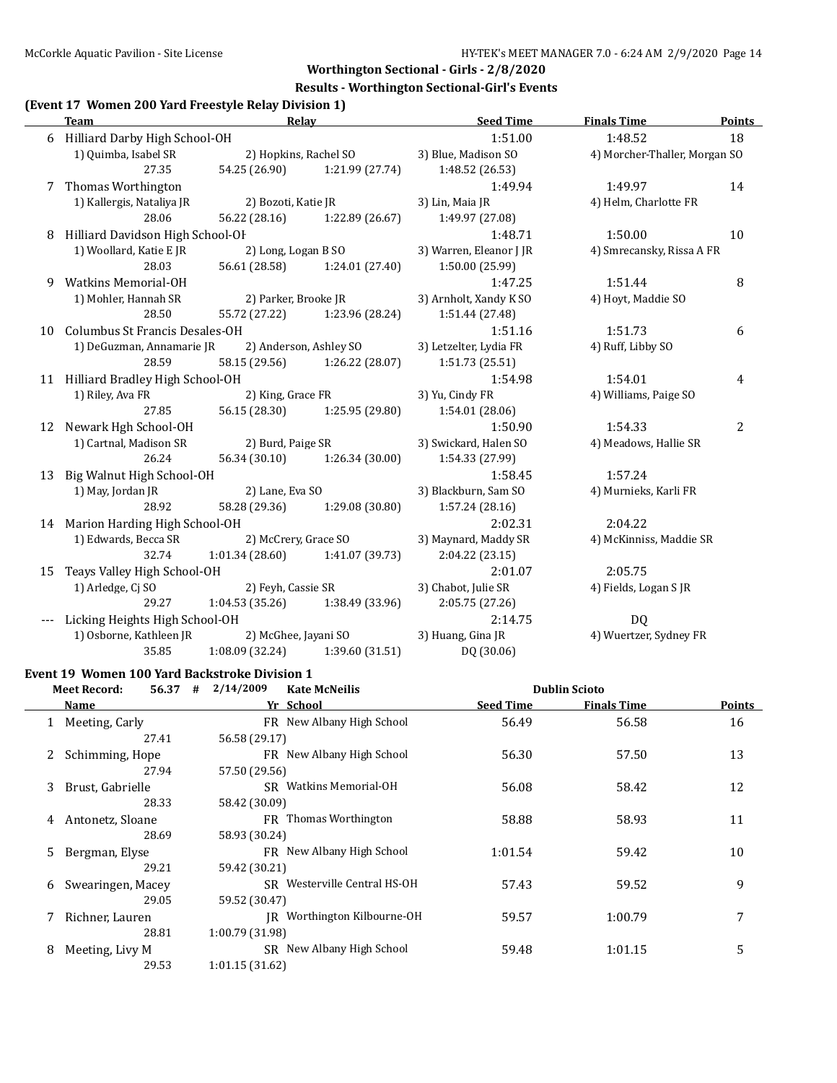#### **Results - Worthington Sectional-Girl's Events**

#### **(Event 17 Women 200 Yard Freestyle Relay Division 1)**

|    | <b>Team</b>                        | Relay                             |                      | <b>Seed Time</b>        | <b>Finals Time</b>            | <b>Points</b>  |
|----|------------------------------------|-----------------------------------|----------------------|-------------------------|-------------------------------|----------------|
| 6  | Hilliard Darby High School-OH      |                                   |                      | 1:51.00                 | 1:48.52                       | 18             |
|    | 1) Quimba, Isabel SR               | 2) Hopkins, Rachel SO             |                      | 3) Blue, Madison SO     | 4) Morcher-Thaller, Morgan SO |                |
|    | 27.35                              | 54.25 (26.90)                     | 1:21.99 (27.74)      | 1:48.52 (26.53)         |                               |                |
| 7  | Thomas Worthington                 |                                   |                      | 1:49.94                 | 1:49.97                       | 14             |
|    | 1) Kallergis, Nataliya JR          | 2) Bozoti, Katie JR               |                      | 3) Lin, Maia JR         | 4) Helm, Charlotte FR         |                |
|    | 28.06                              | 56.22 (28.16) 1:22.89 (26.67)     |                      | 1:49.97 (27.08)         |                               |                |
| 8  | Hilliard Davidson High School-OF   |                                   |                      | 1:48.71                 | 1:50.00                       | 10             |
|    | 1) Woollard, Katie E JR            | 2) Long, Logan B SO               |                      | 3) Warren, Eleanor J JR | 4) Smrecansky, Rissa A FR     |                |
|    | 28.03                              | 56.61 (28.58)                     | 1:24.01 (27.40)      | 1:50.00 (25.99)         |                               |                |
| 9  | <b>Watkins Memorial-OH</b>         |                                   |                      | 1:47.25                 | 1:51.44                       | 8              |
|    | 1) Mohler, Hannah SR               | 2) Parker, Brooke JR              |                      | 3) Arnholt, Xandy K SO  | 4) Hoyt, Maddie SO            |                |
|    | 28.50                              | 55.72 (27.22) 1:23.96 (28.24)     |                      | 1:51.44 (27.48)         |                               |                |
| 10 | Columbus St Francis Desales-OH     |                                   |                      | 1:51.16                 | 1:51.73                       | 6              |
|    | 1) DeGuzman, Annamarie JR          | 2) Anderson, Ashley SO            |                      | 3) Letzelter, Lydia FR  | 4) Ruff, Libby SO             |                |
|    | 28.59                              | 58.15 (29.56) 1:26.22 (28.07)     |                      | 1:51.73(25.51)          |                               |                |
|    | 11 Hilliard Bradley High School-OH |                                   |                      | 1:54.98                 | 1:54.01                       | 4              |
|    | 1) Riley, Ava FR                   | 2) King, Grace FR                 |                      | 3) Yu, Cindy FR         | 4) Williams, Paige SO         |                |
|    | 27.85                              | 56.15 (28.30) 1:25.95 (29.80)     |                      | 1:54.01 (28.06)         |                               |                |
| 12 | Newark Hgh School-OH               |                                   |                      | 1:50.90                 | 1:54.33                       | $\overline{2}$ |
|    | 1) Cartnal, Madison SR             | 2) Burd, Paige SR                 |                      | 3) Swickard, Halen SO   | 4) Meadows, Hallie SR         |                |
|    | 26.24                              | 56.34 (30.10)                     | 1:26.34(30.00)       | 1:54.33 (27.99)         |                               |                |
| 13 | Big Walnut High School-OH          |                                   |                      | 1:58.45                 | 1:57.24                       |                |
|    | 1) May, Jordan JR                  | 2) Lane, Eva SO                   |                      | 3) Blackburn, Sam SO    | 4) Murnieks, Karli FR         |                |
|    | 28.92                              | 58.28 (29.36)                     | 1:29.08 (30.80)      | 1:57.24 (28.16)         |                               |                |
|    | 14 Marion Harding High School-OH   |                                   |                      | 2:02.31                 | 2:04.22                       |                |
|    | 1) Edwards, Becca SR               | 2) McCrery, Grace SO              |                      | 3) Maynard, Maddy SR    | 4) McKinniss, Maddie SR       |                |
|    | 32.74                              | $1:01.34(28.60)$ $1:41.07(39.73)$ |                      | 2:04.22 (23.15)         |                               |                |
| 15 | Teays Valley High School-OH        |                                   |                      | 2:01.07                 | 2:05.75                       |                |
|    | 1) Arledge, Cj SO                  | 2) Feyh, Cassie SR                |                      | 3) Chabot, Julie SR     | 4) Fields, Logan SJR          |                |
|    | 29.27                              | $1:04.53(35.26)$ $1:38.49(33.96)$ |                      | 2:05.75 (27.26)         |                               |                |
|    | Licking Heights High School-OH     |                                   |                      | 2:14.75                 | DQ                            |                |
|    | 1) Osborne, Kathleen JR            |                                   | 2) McGhee, Jayani SO | 3) Huang, Gina JR       | 4) Wuertzer, Sydney FR        |                |
|    | 35.85                              | 1:08.09 (32.24)                   | 1:39.60 (31.51)      | DQ (30.06)              |                               |                |
|    |                                    |                                   |                      |                         |                               |                |

# **Event 19 Women 100 Yard Backstroke Division 1**

|   | 56.37<br><b>Meet Record:</b> | 2/14/2009<br>#  | <b>Kate McNeilis</b>         |                  | <b>Dublin Scioto</b> |               |
|---|------------------------------|-----------------|------------------------------|------------------|----------------------|---------------|
|   | Name                         |                 | Yr School                    | <b>Seed Time</b> | <b>Finals Time</b>   | <b>Points</b> |
|   | 1 Meeting, Carly             |                 | FR New Albany High School    | 56.49            | 56.58                | 16            |
|   | 27.41                        | 56.58 (29.17)   |                              |                  |                      |               |
|   | Schimming, Hope              |                 | FR New Albany High School    | 56.30            | 57.50                | 13            |
|   | 27.94                        | 57.50 (29.56)   |                              |                  |                      |               |
| 3 | Brust, Gabrielle             |                 | SR Watkins Memorial-OH       | 56.08            | 58.42                | 12            |
|   | 28.33                        | 58.42 (30.09)   |                              |                  |                      |               |
| 4 | Antonetz, Sloane             |                 | FR Thomas Worthington        | 58.88            | 58.93                | 11            |
|   | 28.69                        | 58.93 (30.24)   |                              |                  |                      |               |
|   | 5 Bergman, Elyse             |                 | FR New Albany High School    | 1:01.54          | 59.42                | 10            |
|   | 29.21                        | 59.42 (30.21)   |                              |                  |                      |               |
| 6 | Swearingen, Macey            |                 | SR Westerville Central HS-OH | 57.43            | 59.52                | 9             |
|   | 29.05                        | 59.52 (30.47)   |                              |                  |                      |               |
|   | Richner, Lauren              |                 | IR Worthington Kilbourne-OH  | 59.57            | 1:00.79              | 7             |
|   | 28.81                        | 1:00.79 (31.98) |                              |                  |                      |               |
| 8 | Meeting, Livy M              |                 | SR New Albany High School    | 59.48            | 1:01.15              | 5             |
|   | 29.53                        | 1:01.15(31.62)  |                              |                  |                      |               |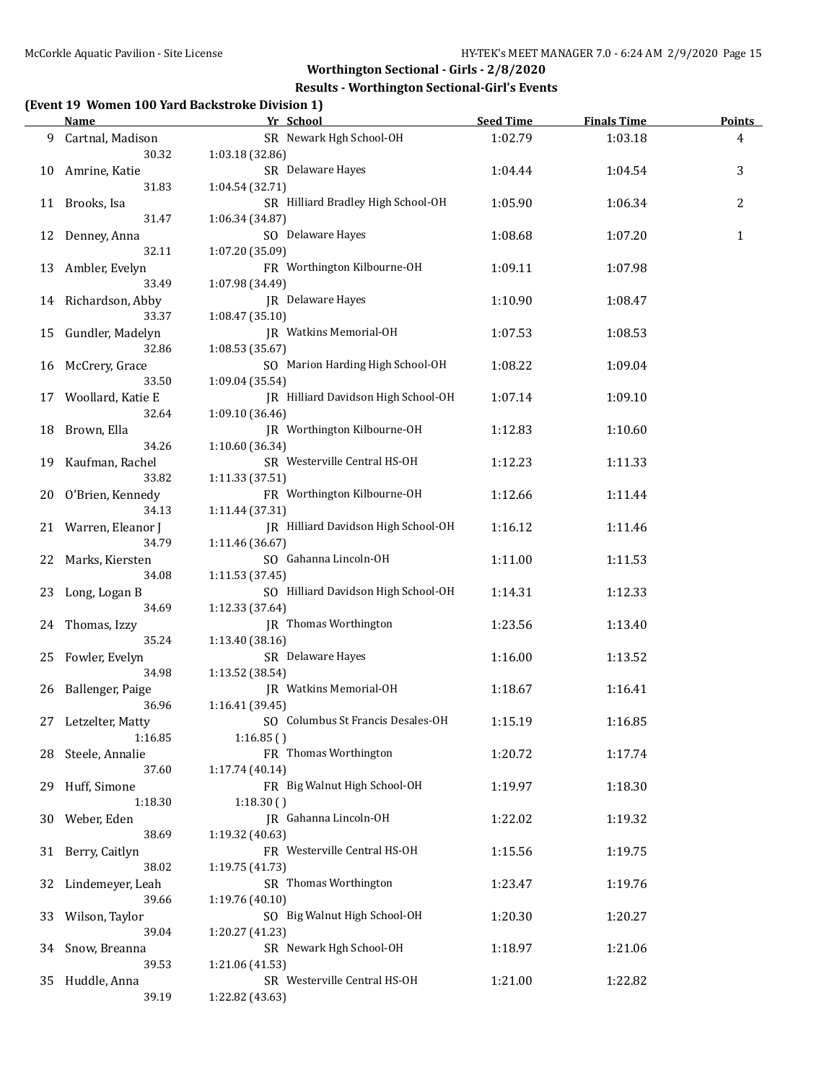#### **Results - Worthington Sectional-Girl's Events**

# **(Event 19 Women 100 Yard Backstroke Division 1)**

|     | <u>Name</u>            | omen 100 Turu buenstrone Division 1)<br>Yr School | <b>Seed Time</b> | <b>Finals Time</b> | <b>Points</b> |
|-----|------------------------|---------------------------------------------------|------------------|--------------------|---------------|
| 9.  | Cartnal, Madison       | SR Newark Hgh School-OH                           | 1:02.79          | 1:03.18            | 4             |
|     | 30.32                  | 1:03.18 (32.86)                                   |                  |                    |               |
| 10  | Amrine, Katie          | SR Delaware Hayes                                 | 1:04.44          | 1:04.54            | 3             |
|     | 31.83                  | 1:04.54 (32.71)                                   |                  |                    |               |
|     | 11 Brooks, Isa         | SR Hilliard Bradley High School-OH                | 1:05.90          | 1:06.34            | 2             |
|     | 31.47                  | 1:06.34 (34.87)                                   |                  |                    |               |
|     |                        | SO Delaware Hayes                                 | 1:08.68          | 1:07.20            | $\mathbf{1}$  |
| 12  | Denney, Anna<br>32.11  | 1:07.20 (35.09)                                   |                  |                    |               |
|     |                        | FR Worthington Kilbourne-OH                       |                  |                    |               |
| 13  | Ambler, Evelyn         |                                                   | 1:09.11          | 1:07.98            |               |
|     | 33.49                  | 1:07.98 (34.49)                                   |                  |                    |               |
|     | 14 Richardson, Abby    | JR Delaware Hayes                                 | 1:10.90          | 1:08.47            |               |
|     | 33.37                  | 1:08.47 (35.10)                                   |                  |                    |               |
| 15  | Gundler, Madelyn       | JR Watkins Memorial-OH                            | 1:07.53          | 1:08.53            |               |
|     | 32.86                  | 1:08.53 (35.67)                                   |                  |                    |               |
| 16  | McCrery, Grace         | SO Marion Harding High School-OH                  | 1:08.22          | 1:09.04            |               |
|     | 33.50                  | 1:09.04 (35.54)                                   |                  |                    |               |
| 17  | Woollard, Katie E      | JR Hilliard Davidson High School-OH               | 1:07.14          | 1:09.10            |               |
|     | 32.64                  | 1:09.10 (36.46)                                   |                  |                    |               |
| 18  | Brown, Ella            | JR Worthington Kilbourne-OH                       | 1:12.83          | 1:10.60            |               |
|     | 34.26                  | 1:10.60 (36.34)                                   |                  |                    |               |
| 19  | Kaufman, Rachel        | SR Westerville Central HS-OH                      | 1:12.23          | 1:11.33            |               |
|     | 33.82                  | 1:11.33 (37.51)                                   |                  |                    |               |
| 20  | O'Brien, Kennedy       | FR Worthington Kilbourne-OH                       | 1:12.66          | 1:11.44            |               |
|     | 34.13                  | 1:11.44 (37.31)                                   |                  |                    |               |
| 21  | Warren, Eleanor J      | JR Hilliard Davidson High School-OH               | 1:16.12          | 1:11.46            |               |
|     | 34.79                  | 1:11.46 (36.67)                                   |                  |                    |               |
| 22  | Marks, Kiersten        | SO Gahanna Lincoln-OH                             | 1:11.00          | 1:11.53            |               |
|     | 34.08                  | 1:11.53 (37.45)                                   |                  |                    |               |
|     |                        | SO Hilliard Davidson High School-OH               | 1:14.31          | 1:12.33            |               |
| 23  | Long, Logan B<br>34.69 |                                                   |                  |                    |               |
|     |                        | 1:12.33 (37.64)                                   |                  |                    |               |
| 24  | Thomas, Izzy           | JR Thomas Worthington                             | 1:23.56          | 1:13.40            |               |
|     | 35.24                  | 1:13.40 (38.16)                                   |                  |                    |               |
| 25  | Fowler, Evelyn         | SR Delaware Hayes                                 | 1:16.00          | 1:13.52            |               |
|     | 34.98                  | 1:13.52 (38.54)                                   |                  |                    |               |
| 26  | Ballenger, Paige       | JR Watkins Memorial-OH                            | 1:18.67          | 1:16.41            |               |
|     | 36.96                  | 1:16.41 (39.45)                                   |                  |                    |               |
|     | 27 Letzelter, Matty    | SO Columbus St Francis Desales-OH                 | 1:15.19          | 1:16.85            |               |
|     | 1:16.85                | 1:16.85()                                         |                  |                    |               |
| 28  | Steele, Annalie        | FR Thomas Worthington                             | 1:20.72          | 1:17.74            |               |
|     | 37.60                  | 1:17.74 (40.14)                                   |                  |                    |               |
| 29. | Huff, Simone           | FR Big Walnut High School-OH                      | 1:19.97          | 1:18.30            |               |
|     | 1:18.30                | 1:18.30()                                         |                  |                    |               |
| 30  | Weber, Eden            | JR Gahanna Lincoln-OH                             | 1:22.02          | 1:19.32            |               |
|     | 38.69                  | 1:19.32 (40.63)                                   |                  |                    |               |
| 31  | Berry, Caitlyn         | FR Westerville Central HS-OH                      | 1:15.56          | 1:19.75            |               |
|     | 38.02                  | 1:19.75 (41.73)                                   |                  |                    |               |
| 32  | Lindemeyer, Leah       | SR Thomas Worthington                             | 1:23.47          | 1:19.76            |               |
|     | 39.66                  | 1:19.76 (40.10)                                   |                  |                    |               |
| 33  | Wilson, Taylor         | SO Big Walnut High School-OH                      | 1:20.30          | 1:20.27            |               |
|     | 39.04                  | 1:20.27 (41.23)                                   |                  |                    |               |
| 34  | Snow, Breanna          | SR Newark Hgh School-OH                           | 1:18.97          | 1:21.06            |               |
|     | 39.53                  | 1:21.06 (41.53)                                   |                  |                    |               |
|     | 35 Huddle, Anna        | SR Westerville Central HS-OH                      | 1:21.00          | 1:22.82            |               |
|     | 39.19                  | 1:22.82 (43.63)                                   |                  |                    |               |
|     |                        |                                                   |                  |                    |               |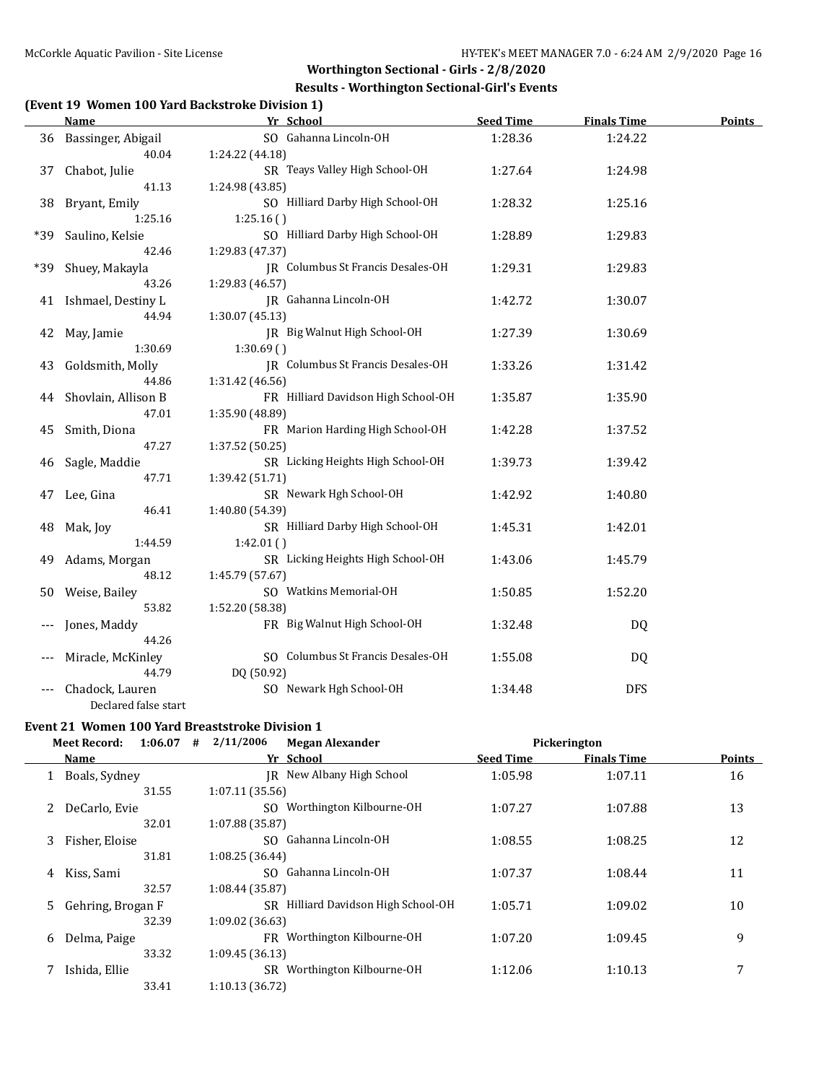#### **Results - Worthington Sectional-Girl's Events**

#### **(Event 19 Women 100 Yard Backstroke Division 1)**

|     | <b>Name</b>          | Yr School                           | <b>Seed Time</b> | <b>Finals Time</b> | <b>Points</b> |
|-----|----------------------|-------------------------------------|------------------|--------------------|---------------|
| 36  | Bassinger, Abigail   | SO Gahanna Lincoln-OH               | 1:28.36          | 1:24.22            |               |
|     | 40.04                | 1:24.22 (44.18)                     |                  |                    |               |
| 37  | Chabot, Julie        | SR Teays Valley High School-OH      | 1:27.64          | 1:24.98            |               |
|     | 41.13                | 1:24.98 (43.85)                     |                  |                    |               |
| 38  | Bryant, Emily        | SO Hilliard Darby High School-OH    | 1:28.32          | 1:25.16            |               |
|     | 1:25.16              | 1:25.16(                            |                  |                    |               |
| *39 | Saulino, Kelsie      | SO Hilliard Darby High School-OH    | 1:28.89          | 1:29.83            |               |
|     | 42.46                | 1:29.83 (47.37)                     |                  |                    |               |
| *39 | Shuey, Makayla       | JR Columbus St Francis Desales-OH   | 1:29.31          | 1:29.83            |               |
|     | 43.26                | 1:29.83 (46.57)                     |                  |                    |               |
| 41  | Ishmael, Destiny L   | JR Gahanna Lincoln-OH               | 1:42.72          | 1:30.07            |               |
|     | 44.94                | 1:30.07(45.13)                      |                  |                    |               |
| 42  | May, Jamie           | JR Big Walnut High School-OH        | 1:27.39          | 1:30.69            |               |
|     | 1:30.69              | 1:30.69(                            |                  |                    |               |
| 43  | Goldsmith, Molly     | JR Columbus St Francis Desales-OH   | 1:33.26          | 1:31.42            |               |
|     | 44.86                | 1:31.42 (46.56)                     |                  |                    |               |
| 44  | Shovlain, Allison B  | FR Hilliard Davidson High School-OH | 1:35.87          | 1:35.90            |               |
|     | 47.01                | 1:35.90 (48.89)                     |                  |                    |               |
| 45  | Smith, Diona         | FR Marion Harding High School-OH    | 1:42.28          | 1:37.52            |               |
|     | 47.27                | 1:37.52 (50.25)                     |                  |                    |               |
| 46  | Sagle, Maddie        | SR Licking Heights High School-OH   | 1:39.73          | 1:39.42            |               |
|     | 47.71                | 1:39.42 (51.71)                     |                  |                    |               |
| 47  | Lee, Gina            | SR Newark Hgh School-OH             | 1:42.92          | 1:40.80            |               |
|     | 46.41                | 1:40.80 (54.39)                     |                  |                    |               |
| 48  | Mak, Joy             | SR Hilliard Darby High School-OH    | 1:45.31          | 1:42.01            |               |
|     | 1:44.59              | 1:42.01()                           |                  |                    |               |
| 49  | Adams, Morgan        | SR Licking Heights High School-OH   | 1:43.06          | 1:45.79            |               |
|     | 48.12                | 1:45.79 (57.67)                     |                  |                    |               |
| 50  | Weise, Bailey        | SO Watkins Memorial-OH              | 1:50.85          | 1:52.20            |               |
|     | 53.82                | 1:52.20 (58.38)                     |                  |                    |               |
|     | Jones, Maddy         | FR Big Walnut High School-OH        | 1:32.48          | DQ                 |               |
|     | 44.26                |                                     |                  |                    |               |
|     | Miracle, McKinley    | SO Columbus St Francis Desales-OH   | 1:55.08          | DQ                 |               |
|     | 44.79                | DQ (50.92)                          |                  |                    |               |
|     | Chadock, Lauren      | SO Newark Hgh School-OH             | 1:34.48          | <b>DFS</b>         |               |
|     | Declared false start |                                     |                  |                    |               |

# **Event 21 Women 100 Yard Breaststroke Division 1**<br>Meet Becord 1.06.07  $\#$  2/11/2006

|    | 1:06.07<br><b>Meet Record:</b> | #<br>2/11/2006<br><b>Megan Alexander</b> |                  | Pickerington       |        |
|----|--------------------------------|------------------------------------------|------------------|--------------------|--------|
|    | <b>Name</b>                    | Yr School                                | <b>Seed Time</b> | <b>Finals Time</b> | Points |
|    | Boals, Sydney                  | IR New Albany High School                | 1:05.98          | 1:07.11            | 16     |
|    | 31.55                          | 1:07.11(35.56)                           |                  |                    |        |
| 2  | DeCarlo, Evie                  | Worthington Kilbourne-OH<br>SO.          | 1:07.27          | 1:07.88            | 13     |
|    | 32.01                          | 1:07.88 (35.87)                          |                  |                    |        |
| 3  | Fisher, Eloise                 | SO Gahanna Lincoln-OH                    | 1:08.55          | 1:08.25            | 12     |
|    | 31.81                          | 1:08.25(36.44)                           |                  |                    |        |
| 4  | Kiss, Sami                     | SO Gahanna Lincoln-OH                    | 1:07.37          | 1:08.44            | 11     |
|    | 32.57                          | 1:08.44 (35.87)                          |                  |                    |        |
| 5. | Gehring, Brogan F              | SR Hilliard Davidson High School-OH      | 1:05.71          | 1:09.02            | 10     |
|    | 32.39                          | 1:09.02(36.63)                           |                  |                    |        |
| 6  | Delma, Paige                   | FR Worthington Kilbourne-OH              | 1:07.20          | 1:09.45            | 9      |
|    | 33.32                          | 1:09.45(36.13)                           |                  |                    |        |
|    | Ishida, Ellie                  | Worthington Kilbourne-OH<br>SR           | 1:12.06          | 1:10.13            | 7      |
|    | 33.41                          | 1:10.13 (36.72)                          |                  |                    |        |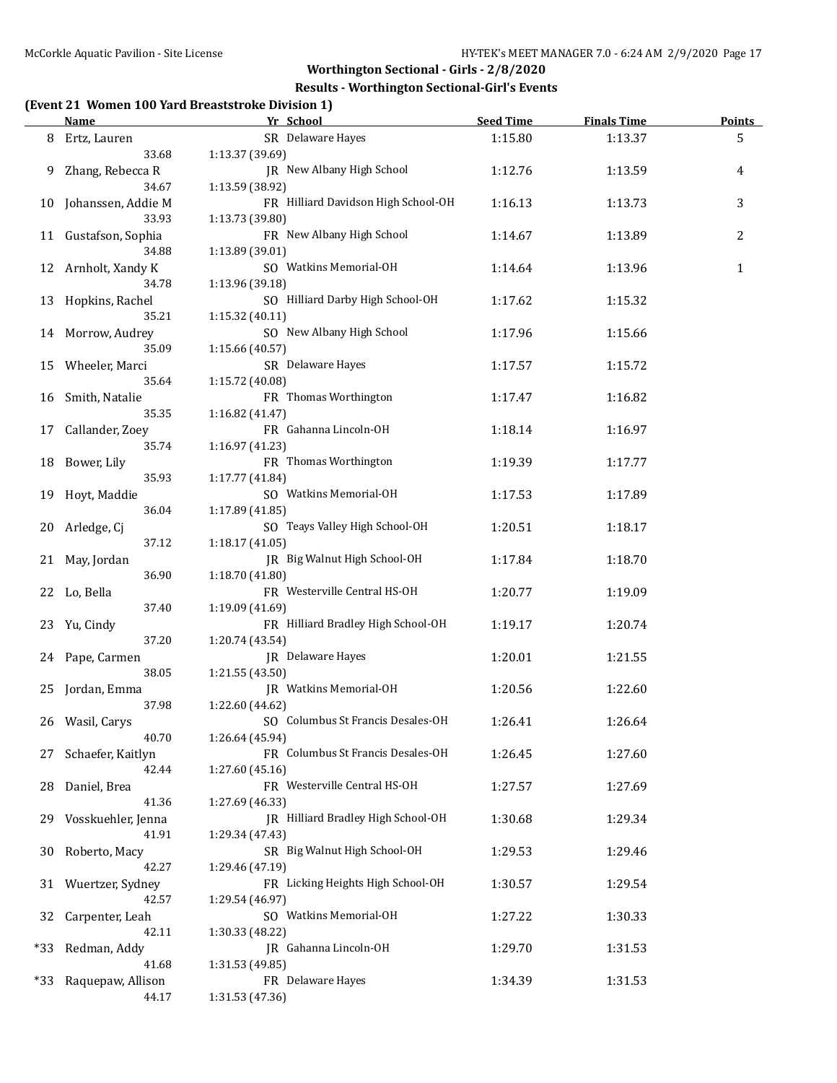#### **Results - Worthington Sectional-Girl's Events**

## **(Event 21 Women 100 Yard Breaststroke Division 1)**

|     | <u>Name</u>                | Yr School                                | <b>Seed Time</b> | <b>Finals Time</b> | <b>Points</b> |
|-----|----------------------------|------------------------------------------|------------------|--------------------|---------------|
|     | 8 Ertz, Lauren             | SR Delaware Hayes                        | 1:15.80          | 1:13.37            | 5             |
|     | 33.68                      | 1:13.37 (39.69)                          |                  |                    |               |
| 9   | Zhang, Rebecca R           | JR New Albany High School                | 1:12.76          | 1:13.59            | 4             |
|     | 34.67                      | 1:13.59 (38.92)                          |                  |                    |               |
| 10  | Johanssen, Addie M         | FR Hilliard Davidson High School-OH      | 1:16.13          | 1:13.73            | 3             |
|     | 33.93                      | 1:13.73 (39.80)                          |                  |                    |               |
|     | 11 Gustafson, Sophia       | FR New Albany High School                | 1:14.67          | 1:13.89            | 2             |
|     | 34.88                      | 1:13.89 (39.01)                          |                  |                    |               |
|     | 12 Arnholt, Xandy K        | SO Watkins Memorial-OH                   | 1:14.64          | 1:13.96            | $\mathbf{1}$  |
|     | 34.78                      | 1:13.96 (39.18)                          |                  |                    |               |
| 13  | Hopkins, Rachel            | SO Hilliard Darby High School-OH         | 1:17.62          | 1:15.32            |               |
|     | 35.21                      | 1:15.32 (40.11)                          |                  |                    |               |
|     | 14 Morrow, Audrey          | SO New Albany High School                | 1:17.96          | 1:15.66            |               |
|     | 35.09                      | 1:15.66 (40.57)                          |                  |                    |               |
| 15  | Wheeler, Marci             | SR Delaware Hayes                        | 1:17.57          | 1:15.72            |               |
|     | 35.64                      | 1:15.72 (40.08)                          |                  |                    |               |
| 16  | Smith, Natalie             | FR Thomas Worthington                    | 1:17.47          | 1:16.82            |               |
|     | 35.35<br>Callander, Zoey   | 1:16.82 (41.47)<br>FR Gahanna Lincoln-OH |                  |                    |               |
| 17  | 35.74                      | 1:16.97 (41.23)                          | 1:18.14          | 1:16.97            |               |
|     | Bower, Lily                | FR Thomas Worthington                    | 1:19.39          | 1:17.77            |               |
| 18  | 35.93                      | 1:17.77 (41.84)                          |                  |                    |               |
| 19  | Hoyt, Maddie               | SO Watkins Memorial-OH                   | 1:17.53          | 1:17.89            |               |
|     | 36.04                      | 1:17.89 (41.85)                          |                  |                    |               |
| 20  | Arledge, Cj                | SO Teays Valley High School-OH           | 1:20.51          | 1:18.17            |               |
|     | 37.12                      | 1:18.17 (41.05)                          |                  |                    |               |
|     | 21 May, Jordan             | JR Big Walnut High School-OH             | 1:17.84          | 1:18.70            |               |
|     | 36.90                      | 1:18.70 (41.80)                          |                  |                    |               |
|     | 22 Lo, Bella               | FR Westerville Central HS-OH             | 1:20.77          | 1:19.09            |               |
|     | 37.40                      | 1:19.09 (41.69)                          |                  |                    |               |
| 23  | Yu, Cindy                  | FR Hilliard Bradley High School-OH       | 1:19.17          | 1:20.74            |               |
|     | 37.20                      | 1:20.74 (43.54)                          |                  |                    |               |
|     | 24 Pape, Carmen            | JR Delaware Hayes                        | 1:20.01          | 1:21.55            |               |
|     | 38.05                      | 1:21.55 (43.50)                          |                  |                    |               |
|     | 25 Jordan, Emma            | JR Watkins Memorial-OH                   | 1:20.56          | 1:22.60            |               |
|     | 37.98                      | 1:22.60 (44.62)                          |                  |                    |               |
|     | 26 Wasil, Carys            | SO Columbus St Francis Desales-OH        | 1:26.41          | 1:26.64            |               |
|     | 40.70                      | 1:26.64 (45.94)                          |                  |                    |               |
|     | Schaefer, Kaitlyn          | FR Columbus St Francis Desales-OH        | 1:26.45          | 1:27.60            |               |
|     | 42.44                      | 1:27.60 (45.16)                          |                  |                    |               |
| 28  | Daniel, Brea               | FR Westerville Central HS-OH             | 1:27.57          | 1:27.69            |               |
|     | 41.36                      | 1:27.69 (46.33)                          |                  |                    |               |
| 29  | Vosskuehler, Jenna         | JR Hilliard Bradley High School-OH       | 1:30.68          | 1:29.34            |               |
|     | 41.91                      | 1:29.34 (47.43)                          |                  |                    |               |
| 30  | Roberto, Macy              | SR Big Walnut High School-OH             | 1:29.53          | 1:29.46            |               |
|     | 42.27                      | 1:29.46 (47.19)                          |                  |                    |               |
| 31  | Wuertzer, Sydney           | FR Licking Heights High School-OH        | 1:30.57          | 1:29.54            |               |
|     | 42.57                      | 1:29.54 (46.97)                          |                  |                    |               |
| 32  | Carpenter, Leah            | SO Watkins Memorial-OH                   | 1:27.22          | 1:30.33            |               |
|     | 42.11                      | 1:30.33 (48.22)                          |                  |                    |               |
| *33 | Redman, Addy               | JR Gahanna Lincoln-OH                    | 1:29.70          | 1:31.53            |               |
| *33 | 41.68<br>Raquepaw, Allison | 1:31.53 (49.85)<br>FR Delaware Hayes     | 1:34.39          | 1:31.53            |               |
|     | 44.17                      | 1:31.53 (47.36)                          |                  |                    |               |
|     |                            |                                          |                  |                    |               |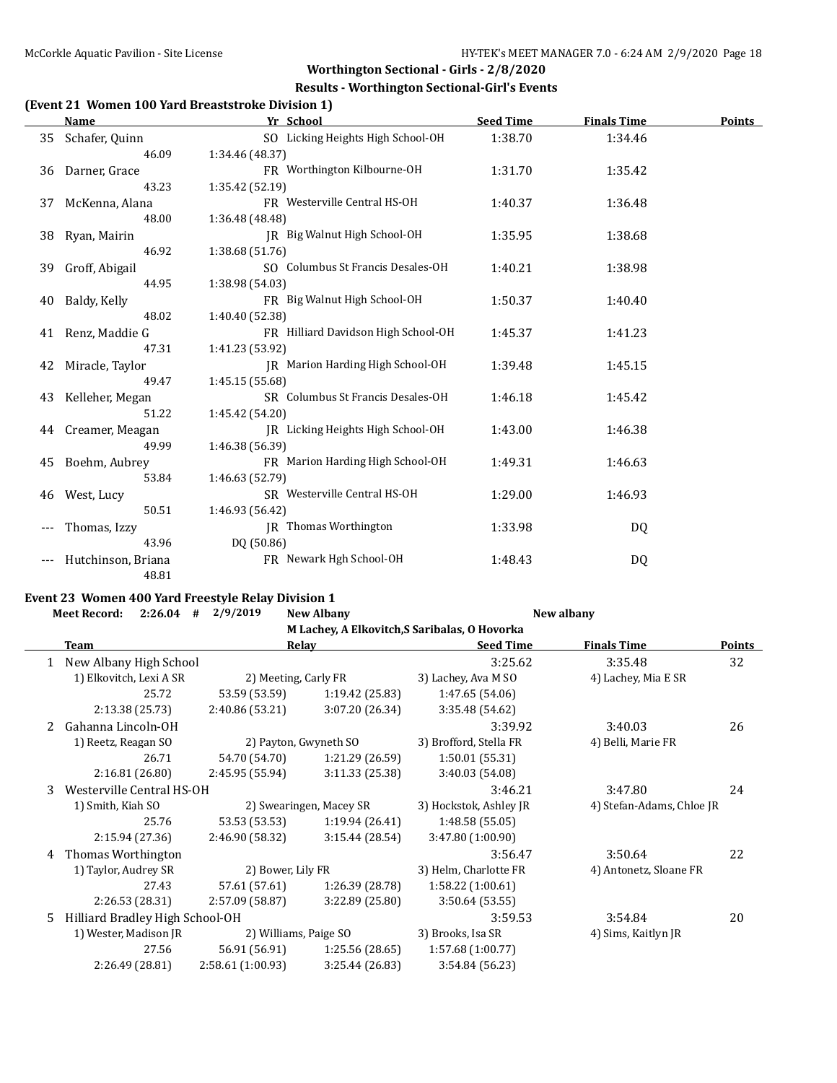#### **Results - Worthington Sectional-Girl's Events**

#### **(Event 21 Women 100 Yard Breaststroke Division 1)**

|     | Name               | Yr School                           | <b>Seed Time</b> | <b>Finals Time</b> | <b>Points</b> |
|-----|--------------------|-------------------------------------|------------------|--------------------|---------------|
| 35  | Schafer, Quinn     | SO Licking Heights High School-OH   | 1:38.70          | 1:34.46            |               |
|     | 46.09              | 1:34.46 (48.37)                     |                  |                    |               |
| 36  | Darner, Grace      | FR Worthington Kilbourne-OH         | 1:31.70          | 1:35.42            |               |
|     | 43.23              | 1:35.42 (52.19)                     |                  |                    |               |
| 37  | McKenna, Alana     | FR Westerville Central HS-OH        | 1:40.37          | 1:36.48            |               |
|     | 48.00              | 1:36.48 (48.48)                     |                  |                    |               |
| 38  | Ryan, Mairin       | JR Big Walnut High School-OH        | 1:35.95          | 1:38.68            |               |
|     | 46.92              | 1:38.68 (51.76)                     |                  |                    |               |
|     | 39 Groff, Abigail  | SO Columbus St Francis Desales-OH   | 1:40.21          | 1:38.98            |               |
|     | 44.95              | 1:38.98 (54.03)                     |                  |                    |               |
| 40  | Baldy, Kelly       | FR Big Walnut High School-OH        | 1:50.37          | 1:40.40            |               |
|     | 48.02              | 1:40.40 (52.38)                     |                  |                    |               |
| 41  | Renz, Maddie G     | FR Hilliard Davidson High School-OH | 1:45.37          | 1:41.23            |               |
|     | 47.31              | 1:41.23 (53.92)                     |                  |                    |               |
| 42  | Miracle, Taylor    | JR Marion Harding High School-OH    | 1:39.48          | 1:45.15            |               |
|     | 49.47              | 1:45.15 (55.68)                     |                  |                    |               |
| 43  | Kelleher, Megan    | SR Columbus St Francis Desales-OH   | 1:46.18          | 1:45.42            |               |
|     | 51.22              | 1:45.42 (54.20)                     |                  |                    |               |
|     | 44 Creamer, Meagan | IR Licking Heights High School-OH   | 1:43.00          | 1:46.38            |               |
|     | 49.99              | 1:46.38 (56.39)                     |                  |                    |               |
| 45  | Boehm, Aubrey      | FR Marion Harding High School-OH    | 1:49.31          | 1:46.63            |               |
|     | 53.84              | 1:46.63 (52.79)                     |                  |                    |               |
| 46  | West, Lucy         | SR Westerville Central HS-OH        | 1:29.00          | 1:46.93            |               |
|     | 50.51              | 1:46.93 (56.42)                     |                  |                    |               |
| --- | Thomas, Izzy       | <b>IR</b> Thomas Worthington        | 1:33.98          | DQ                 |               |
|     | 43.96              | DQ (50.86)                          |                  |                    |               |
|     | Hutchinson, Briana | FR Newark Hgh School-OH             | 1:48.43          | DQ                 |               |
|     | 48.81              |                                     |                  |                    |               |

# **Event 23 Women 400 Yard Freestyle Relay Division 1**<br>Most Becord:  $2.26.04 + 2/9/2019$  Now Alba

|    | <b>Meet Record:</b><br>2:26.04  | 2/9/2019<br>#         | <b>New Albany</b>       |                                               | New albany                |               |
|----|---------------------------------|-----------------------|-------------------------|-----------------------------------------------|---------------------------|---------------|
|    |                                 |                       |                         | M Lachey, A Elkovitch, S Saribalas, O Hovorka |                           |               |
|    | <b>Team</b>                     |                       | <b>Relay</b>            | <b>Seed Time</b>                              | <b>Finals Time</b>        | <b>Points</b> |
|    | New Albany High School          |                       |                         | 3:25.62                                       | 3:35.48                   | 32            |
|    | 1) Elkovitch, Lexi A SR         | 2) Meeting, Carly FR  |                         | 3) Lachey, Ava M SO                           | 4) Lachey, Mia E SR       |               |
|    | 25.72                           | 53.59 (53.59)         | 1:19.42 (25.83)         | 1:47.65 (54.06)                               |                           |               |
|    | 2:13.38 (25.73)                 | 2:40.86 (53.21)       | 3:07.20 (26.34)         | 3:35.48 (54.62)                               |                           |               |
| 2  | Gahanna Lincoln-OH              |                       |                         | 3:39.92                                       | 3:40.03                   | 26            |
|    | 1) Reetz, Reagan SO             |                       | 2) Payton, Gwyneth SO   | 3) Brofford, Stella FR                        | 4) Belli, Marie FR        |               |
|    | 26.71                           | 54.70 (54.70)         | 1:21.29 (26.59)         | 1:50.01(55.31)                                |                           |               |
|    | 2:16.81 (26.80)                 | 2:45.95 (55.94)       | 3:11.33(25.38)          | 3:40.03 (54.08)                               |                           |               |
| 3  | Westerville Central HS-OH       |                       |                         | 3:46.21                                       | 3:47.80                   | 24            |
|    | 1) Smith, Kiah SO               |                       | 2) Swearingen, Macey SR | 3) Hockstok, Ashley JR                        | 4) Stefan-Adams, Chloe JR |               |
|    | 25.76                           | 53.53 (53.53)         | 1:19.94(26.41)          | 1:48.58(55.05)                                |                           |               |
|    | 2:15.94 (27.36)                 | 2:46.90 (58.32)       | 3:15.44(28.54)          | 3:47.80 (1:00.90)                             |                           |               |
| 4  | Thomas Worthington              |                       |                         | 3:56.47                                       | 3:50.64                   | 22            |
|    | 1) Taylor, Audrey SR            | 2) Bower, Lily FR     |                         | 3) Helm, Charlotte FR                         | 4) Antonetz, Sloane FR    |               |
|    | 27.43                           | 57.61 (57.61)         | 1:26.39 (28.78)         | 1:58.22(1:00.61)                              |                           |               |
|    | 2:26.53 (28.31)                 | 2:57.09 (58.87)       | 3:22.89(25.80)          | 3:50.64(53.55)                                |                           |               |
| 5. | Hilliard Bradley High School-OH |                       |                         | 3:59.53                                       | 3:54.84                   | 20            |
|    | 1) Wester, Madison JR           | 2) Williams, Paige SO |                         | 3) Brooks, Isa SR                             | 4) Sims, Kaitlyn JR       |               |
|    | 27.56                           | 56.91 (56.91)         | 1:25.56(28.65)          | 1:57.68(1:00.77)                              |                           |               |
|    | 2:26.49 (28.81)                 | 2:58.61 (1:00.93)     | 3:25.44 (26.83)         | 3:54.84 (56.23)                               |                           |               |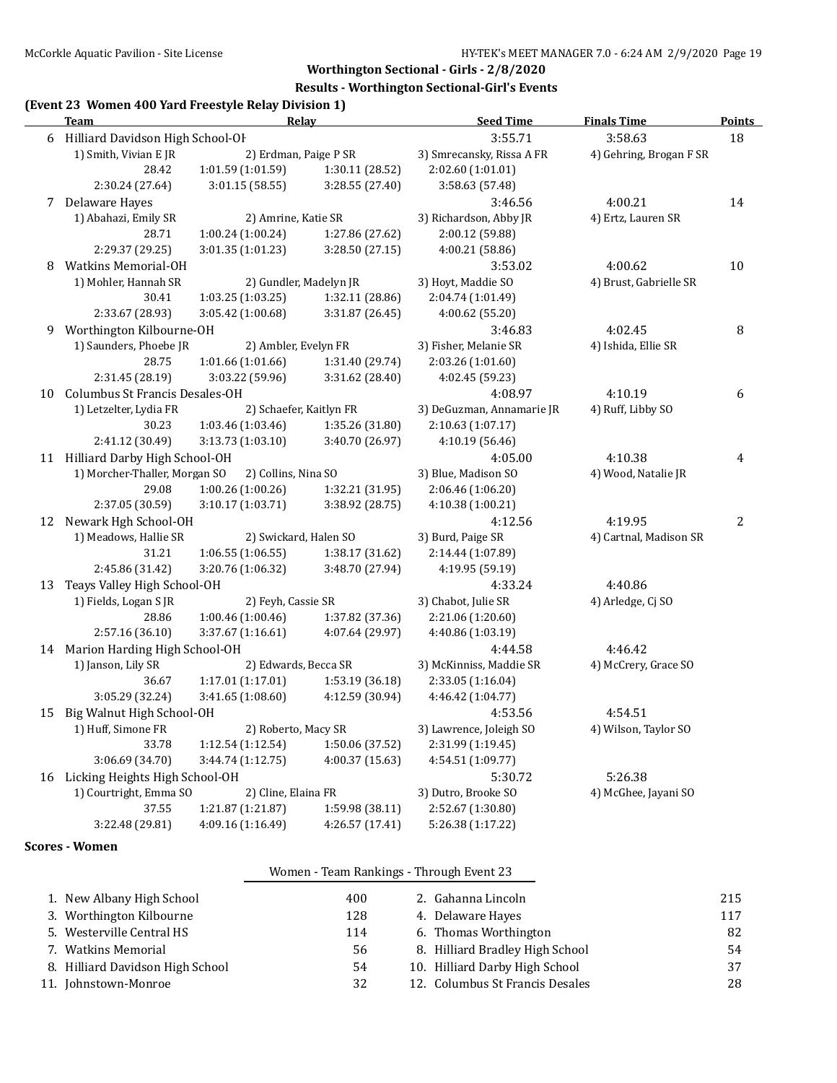#### **Results - Worthington Sectional-Girl's Events**

## **(Event 23 Women 400 Yard Freestyle Relay Division 1)**

|                                  | <b>Team</b>                       | Relay                  |                         | <b>Seed Time</b>          | <b>Finals Time</b>      | <b>Points</b>  |
|----------------------------------|-----------------------------------|------------------------|-------------------------|---------------------------|-------------------------|----------------|
| 6                                | Hilliard Davidson High School-OF  |                        |                         | 3:55.71                   | 3:58.63                 | 18             |
|                                  | 1) Smith, Vivian E JR             | 2) Erdman, Paige P SR  |                         | 3) Smrecansky, Rissa A FR | 4) Gehring, Brogan F SR |                |
|                                  | 28.42                             | 1:01.59 (1:01.59)      | 1:30.11 (28.52)         | 2:02.60 (1:01.01)         |                         |                |
|                                  | 2:30.24 (27.64)                   | 3:01.15(58.55)         | 3:28.55 (27.40)         | 3:58.63 (57.48)           |                         |                |
| 7                                | Delaware Hayes                    |                        |                         | 3:46.56                   | 4:00.21                 | 14             |
|                                  | 1) Abahazi, Emily SR              | 2) Amrine, Katie SR    |                         | 3) Richardson, Abby JR    | 4) Ertz, Lauren SR      |                |
|                                  | 28.71                             | 1:00.24 (1:00.24)      | 1:27.86 (27.62)         | 2:00.12 (59.88)           |                         |                |
|                                  | 2:29.37 (29.25)                   | 3:01.35 (1:01.23)      | 3:28.50 (27.15)         | 4:00.21 (58.86)           |                         |                |
| 8                                | <b>Watkins Memorial-OH</b>        |                        |                         | 3:53.02                   | 4:00.62                 | 10             |
|                                  | 1) Mohler, Hannah SR              | 2) Gundler, Madelyn JR |                         | 3) Hoyt, Maddie SO        | 4) Brust, Gabrielle SR  |                |
|                                  | 30.41                             | 1:03.25(1:03.25)       | 1:32.11 (28.86)         | 2:04.74 (1:01.49)         |                         |                |
|                                  | 2:33.67 (28.93)                   | 3:05.42 (1:00.68)      | 3:31.87 (26.45)         | 4:00.62 (55.20)           |                         |                |
| 9                                | Worthington Kilbourne-OH          |                        |                         | 3:46.83                   | 4:02.45                 | 8              |
|                                  | 1) Saunders, Phoebe JR            | 2) Ambler, Evelyn FR   |                         | 3) Fisher, Melanie SR     | 4) Ishida, Ellie SR     |                |
|                                  | 28.75                             | 1:01.66 (1:01.66)      | 1:31.40 (29.74)         | 2:03.26 (1:01.60)         |                         |                |
|                                  | 2:31.45 (28.19)                   | 3:03.22 (59.96)        | 3:31.62 (28.40)         | 4:02.45 (59.23)           |                         |                |
| 10                               | Columbus St Francis Desales-OH    |                        |                         | 4:08.97                   | 4:10.19                 | 6              |
|                                  | 1) Letzelter, Lydia FR            |                        | 2) Schaefer, Kaitlyn FR | 3) DeGuzman, Annamarie JR | 4) Ruff, Libby SO       |                |
|                                  | 30.23                             | 1:03.46 (1:03.46)      | 1:35.26 (31.80)         | 2:10.63 (1:07.17)         |                         |                |
|                                  | 2:41.12 (30.49)                   | 3:13.73 (1:03.10)      | 3:40.70 (26.97)         | 4:10.19 (56.46)           |                         |                |
| 11 Hilliard Darby High School-OH |                                   | 4:05.00                | 4:10.38                 | 4                         |                         |                |
|                                  | 1) Morcher-Thaller, Morgan SO     | 2) Collins, Nina SO    |                         | 3) Blue, Madison SO       | 4) Wood, Natalie JR     |                |
|                                  | 29.08                             | 1:00.26(1:00.26)       | 1:32.21 (31.95)         | 2:06.46 (1:06.20)         |                         |                |
|                                  | 2:37.05 (30.59)                   | 3:10.17 (1:03.71)      | 3:38.92 (28.75)         | 4:10.38 (1:00.21)         |                         |                |
|                                  | 12 Newark Hgh School-OH           |                        |                         | 4:12.56                   | 4:19.95                 | $\overline{2}$ |
|                                  | 1) Meadows, Hallie SR             | 2) Swickard, Halen SO  |                         | 3) Burd, Paige SR         | 4) Cartnal, Madison SR  |                |
|                                  | 31.21                             | 1:06.55 (1:06.55)      | 1:38.17 (31.62)         | 2:14.44 (1:07.89)         |                         |                |
|                                  | 2:45.86 (31.42)                   | 3:20.76 (1:06.32)      | 3:48.70 (27.94)         | 4:19.95 (59.19)           |                         |                |
| 13                               | Teays Valley High School-OH       |                        | 4:33.24                 | 4:40.86                   |                         |                |
|                                  | 1) Fields, Logan SJR              | 2) Feyh, Cassie SR     |                         | 3) Chabot, Julie SR       | 4) Arledge, Cj SO       |                |
|                                  | 28.86                             | 1:00.46 (1:00.46)      | 1:37.82 (37.36)         | 2:21.06 (1:20.60)         |                         |                |
|                                  | 2:57.16 (36.10)                   | 3:37.67 (1:16.61)      | 4:07.64 (29.97)         | 4:40.86 (1:03.19)         |                         |                |
|                                  | 14 Marion Harding High School-OH  |                        |                         | 4:44.58                   | 4:46.42                 |                |
|                                  | 1) Janson, Lily SR                | 2) Edwards, Becca SR   |                         | 3) McKinniss, Maddie SR   | 4) McCrery, Grace SO    |                |
|                                  | 36.67                             | 1:17.01 (1:17.01)      | 1:53.19 (36.18)         | 2:33.05 (1:16.04)         |                         |                |
|                                  | 3:05.29 (32.24)                   | 3:41.65 (1:08.60)      | 4:12.59 (30.94)         | 4:46.42 (1:04.77)         |                         |                |
|                                  | 15 Big Walnut High School-OH      |                        |                         | 4:53.56                   | 4:54.51                 |                |
|                                  | 1) Huff, Simone FR                | 2) Roberto, Macy SR    |                         | 3) Lawrence, Joleigh SO   | 4) Wilson, Taylor SO    |                |
|                                  | 33.78                             | 1:12.54 (1:12.54)      | 1:50.06 (37.52)         | 2:31.99 (1:19.45)         |                         |                |
|                                  | 3:06.69 (34.70)                   | 3:44.74 (1:12.75)      | 4:00.37 (15.63)         | 4:54.51 (1:09.77)         |                         |                |
|                                  | 16 Licking Heights High School-OH |                        | 5:30.72                 | 5:26.38                   |                         |                |
|                                  | 1) Courtright, Emma SO            | 2) Cline, Elaina FR    |                         | 3) Dutro, Brooke SO       | 4) McGhee, Jayani SO    |                |
|                                  | 37.55                             | 1:21.87 (1:21.87)      | 1:59.98 (38.11)         | 2:52.67 (1:30.80)         |                         |                |
|                                  | 3:22.48 (29.81)                   | 4:09.16 (1:16.49)      | 4:26.57 (17.41)         | 5:26.38 (1:17.22)         |                         |                |
|                                  |                                   |                        |                         |                           |                         |                |

#### **Scores - Women**

#### Women - Team Rankings - Through Event 23

| 1. New Albany High School        | 400 | 2. Gahanna Lincoln              | 215 |
|----------------------------------|-----|---------------------------------|-----|
| 3. Worthington Kilbourne         | 128 | 4. Delaware Hayes               | 117 |
| 5. Westerville Central HS        | 114 | 6. Thomas Worthington           | 82  |
| 7. Watkins Memorial              | 56  | 8. Hilliard Bradley High School | 54  |
| 8. Hilliard Davidson High School | 54  | 10. Hilliard Darby High School  | 37  |
| 11. Johnstown-Monroe             | 32  | 12. Columbus St Francis Desales | 28  |
|                                  |     |                                 |     |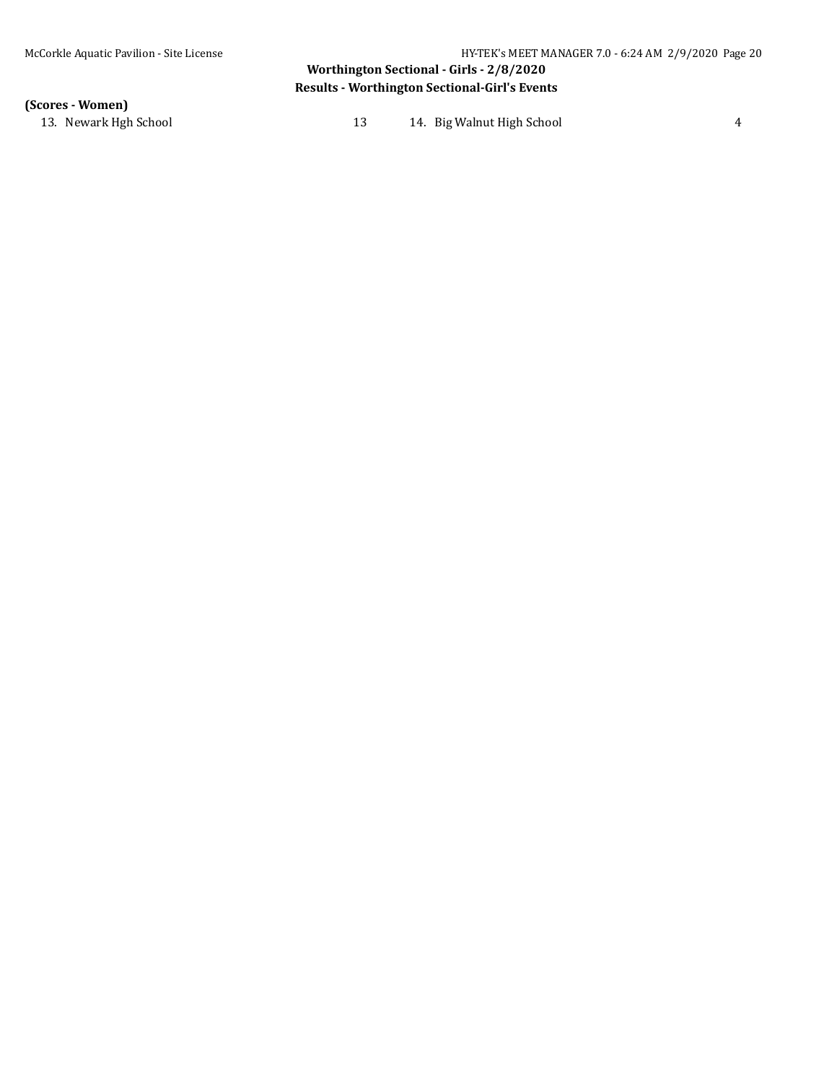# **Worthington Sectional - Girls - 2/8/2020 Results - Worthington Sectional-Girl's Events**

**(Scores - Women)**

13. Newark Hgh School 13 14. Big Walnut High School 4